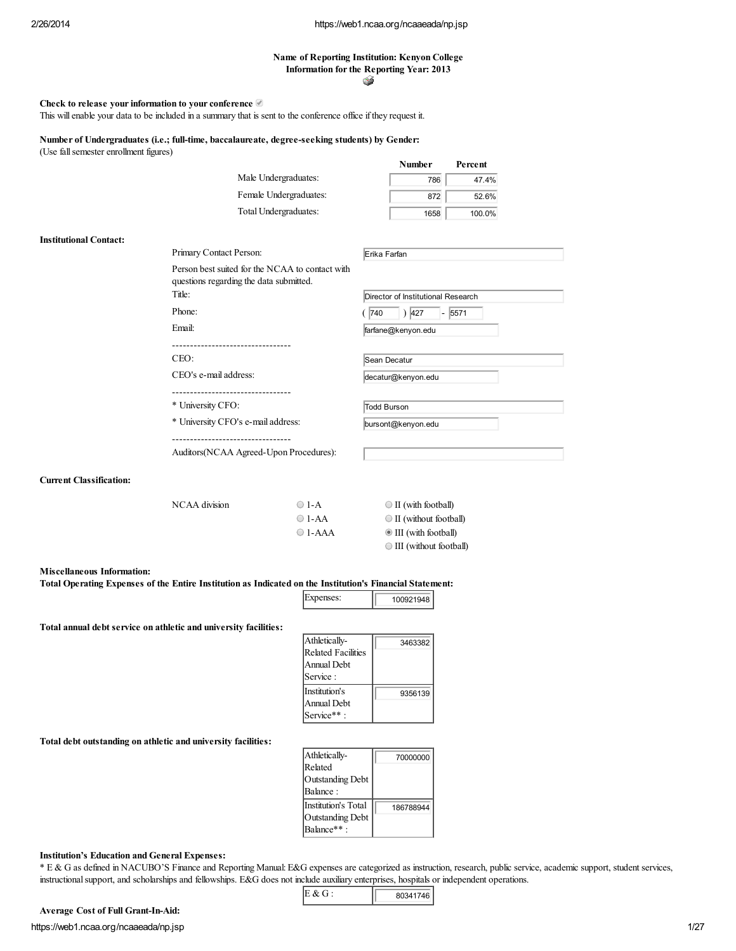### Name of Reporting Institution: Kenyon College Information for the Reporting Year: 2013 ۵

Check to release your information to your conference

This will enable your data to be included in a summary that is sent to the conference office if they request it.

Number of Undergraduates (i.e.; full-time, baccalaureate, degree-seeking students) by Gender: (Use fallsemester enrollment figures)

|                       |                                                                                            | <b>Number</b>                      | Percent |  |
|-----------------------|--------------------------------------------------------------------------------------------|------------------------------------|---------|--|
|                       | Male Undergraduates:                                                                       | 786                                | 47.4%   |  |
|                       | Female Undergraduates:                                                                     | 872                                | 52.6%   |  |
|                       | Total Undergraduates:                                                                      | 1658                               | 100.0%  |  |
|                       | Primary Contact Person:                                                                    | Erika Farfan                       |         |  |
|                       | Person best suited for the NCAA to contact with<br>questions regarding the data submitted. |                                    |         |  |
| Title:                |                                                                                            | Director of Institutional Research |         |  |
| Phone:                |                                                                                            | 427 <br>740<br>$\blacksquare$      | 5571    |  |
| Email:                |                                                                                            | farfane@kenyon.edu                 |         |  |
|                       |                                                                                            |                                    |         |  |
| CEO:                  |                                                                                            | Sean Decatur                       |         |  |
| CEO's e-mail address: |                                                                                            | decatur@kenyon.edu                 |         |  |
|                       | -----------------------------                                                              |                                    |         |  |
| * University CFO:     |                                                                                            | Todd Burson                        |         |  |
|                       | * University CFO's e-mail address:                                                         | bursont@kenyon.edu                 |         |  |
|                       |                                                                                            |                                    |         |  |

Auditors(NCAA Agreed-Upon Procedures):

### Current Classification:

Institutional Contact:

| NCAA division | $\bigcirc$ 1-A   | $\bigcirc$ II (with football)     |
|---------------|------------------|-----------------------------------|
|               | $\bigcirc$ 1-AA  | $\bigcirc$ II (without football)  |
|               | $\bigcirc$ 1-AAA | $\bullet$ III (with football)     |
|               |                  | $\bigcirc$ III (without football) |

### Miscellaneous Information:

|  | expenses | 100921948 |
|--|----------|-----------|
|--|----------|-----------|

Total annual debt service on athletic and university facilities:

| 3463382 |
|---------|
|         |
| 9356139 |
|         |

### Total debt outstanding on athletic and university facilities:

| Athletically-              | 70000000  |
|----------------------------|-----------|
| Related                    |           |
| Outstanding Debt           |           |
| Balance:                   |           |
| <b>Institution's Total</b> | 186788944 |
| Outstanding Debt           |           |
| Balance**:                 |           |

### Institution's Education and General Expenses:

\* E & G as defined in NACUBO'S Finance and Reporting Manual: E&G expenses are categorized as instruction, research, public service, academic support, student services, instructionalsupport, and scholarships and fellowships. E&G does not include auxiliary enterprises, hospitals or independent operations.

| E & G | 80341746 |
|-------|----------|
|-------|----------|

# https://web1.ncaa.org/ncaaeada/np.jsp 1/27 Average Cost of Full Grant-In-Aid: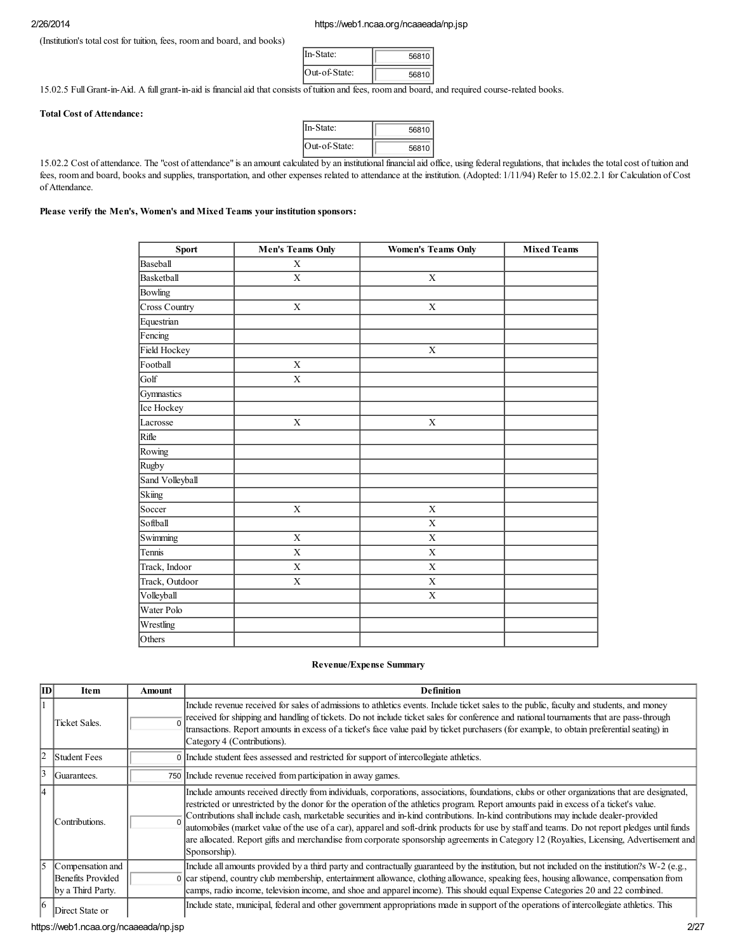(Institution's total cost for tuition, fees, room and board, and books)

| In-State:     | 56810 |  |
|---------------|-------|--|
| Out-of-State: | 56810 |  |

15.02.5 Full Grant-in-Aid. A full grant-in-aid is financial aid that consists of tuition and fees, room and board, and required course-related books.

## Total Cost of Attendance:

| n-State:      | 56810 |  |
|---------------|-------|--|
| Out-of-State: | 56810 |  |

15.02.2 Cost of attendance. The "cost of attendance" is an amount calculated by an institutionalfinancial aid office, using federalregulations, that includes the total cost of tuition and fees, room and board, books and supplies, transportation, and other expenses related to attendance at the institution. (Adopted: 1/11/94) Refer to 15.02.2.1 for Calculation of Cost of Attendance.

## Please verify the Men's, Women's and Mixed Teams your institution sponsors:

| Sport           | <b>Men's Teams Only</b> | <b>Women's Teams Only</b> | <b>Mixed Teams</b> |
|-----------------|-------------------------|---------------------------|--------------------|
| Baseball        | X                       |                           |                    |
| Basketball      | $\overline{\mathbf{X}}$ | $\overline{\mathbf{X}}$   |                    |
| Bowling         |                         |                           |                    |
| Cross Country   | $\mathbf X$             | $\mathbf X$               |                    |
| Equestrian      |                         |                           |                    |
| Fencing         |                         |                           |                    |
| Field Hockey    |                         | X                         |                    |
| Football        | $\mathbf X$             |                           |                    |
| Golf            | X                       |                           |                    |
| Gymnastics      |                         |                           |                    |
| Ice Hockey      |                         |                           |                    |
| Lacrosse        | $\overline{\mathbf{X}}$ | $\mathbf X$               |                    |
| Rifle           |                         |                           |                    |
| Rowing          |                         |                           |                    |
| Rugby           |                         |                           |                    |
| Sand Volleyball |                         |                           |                    |
| Skiing          |                         |                           |                    |
| Soccer          | $\mathbf X$             | $\mathbf X$               |                    |
| Softball        |                         | $\mathbf X$               |                    |
| Swimming        | $\mathbf X$             | $\mathbf X$               |                    |
| Tennis          | $\mathbf X$             | $\mathbf X$               |                    |
| Track, Indoor   | $\mathbf X$             | $\mathbf X$               |                    |
| Track, Outdoor  | $\mathbf X$             | X                         |                    |
| Volleyball      |                         | $\mathbf X$               |                    |
| Water Polo      |                         |                           |                    |
| Wrestling       |                         |                           |                    |
| Others          |                         |                           |                    |

## Revenue/Expense Summary

| lTD | Item                                                       | Amount | <b>Definition</b>                                                                                                                                                                                                                                                                                                                                                                                                                                                                                                                                                                                                                                                                                                                               |
|-----|------------------------------------------------------------|--------|-------------------------------------------------------------------------------------------------------------------------------------------------------------------------------------------------------------------------------------------------------------------------------------------------------------------------------------------------------------------------------------------------------------------------------------------------------------------------------------------------------------------------------------------------------------------------------------------------------------------------------------------------------------------------------------------------------------------------------------------------|
|     | Ticket Sales.                                              |        | Include revenue received for sales of admissions to athletics events. Include ticket sales to the public, faculty and students, and money<br>received for shipping and handling of tickets. Do not include ticket sales for conference and national tournaments that are pass-through<br>transactions. Report amounts in excess of a ticket's face value paid by ticket purchasers (for example, to obtain preferential seating) in<br>Category 4 (Contributions).                                                                                                                                                                                                                                                                              |
| l2  | <b>Student Fees</b>                                        |        | 0 Include student fees assessed and restricted for support of intercollegiate athletics.                                                                                                                                                                                                                                                                                                                                                                                                                                                                                                                                                                                                                                                        |
|     | Guarantees.                                                |        | 750 Include revenue received from participation in away games.                                                                                                                                                                                                                                                                                                                                                                                                                                                                                                                                                                                                                                                                                  |
|     | Contributions.                                             |        | Include amounts received directly from individuals, corporations, associations, foundations, clubs or other organizations that are designated,<br>restricted or unrestricted by the donor for the operation of the athletics program. Report amounts paid in excess of a ticket's value.<br>Contributions shall include cash, marketable securities and in-kind contributions. In-kind contributions may include dealer-provided<br>automobiles (market value of the use of a car), apparel and soft-drink products for use by staff and teams. Do not report pledges until funds<br>are allocated. Report gifts and merchandise from corporate sponsorship agreements in Category 12 (Royalties, Licensing, Advertisement and<br>Sponsorship). |
| 15  | Compensation and<br>Benefits Provided<br>by a Third Party. |        | Include all amounts provided by a third party and contractually guaranteed by the institution, but not included on the institution?s W-2 (e.g.,<br>0 car stipend, country club membership, entertainment allowance, clothing allowance, speaking fees, housing allowance, compensation from<br>camps, radio income, television income, and shoe and apparel income). This should equal Expense Categories 20 and 22 combined.                                                                                                                                                                                                                                                                                                                   |
| 16  | Direct State or                                            |        | Include state, municipal, federal and other government appropriations made in support of the operations of intercollegiate athletics. This                                                                                                                                                                                                                                                                                                                                                                                                                                                                                                                                                                                                      |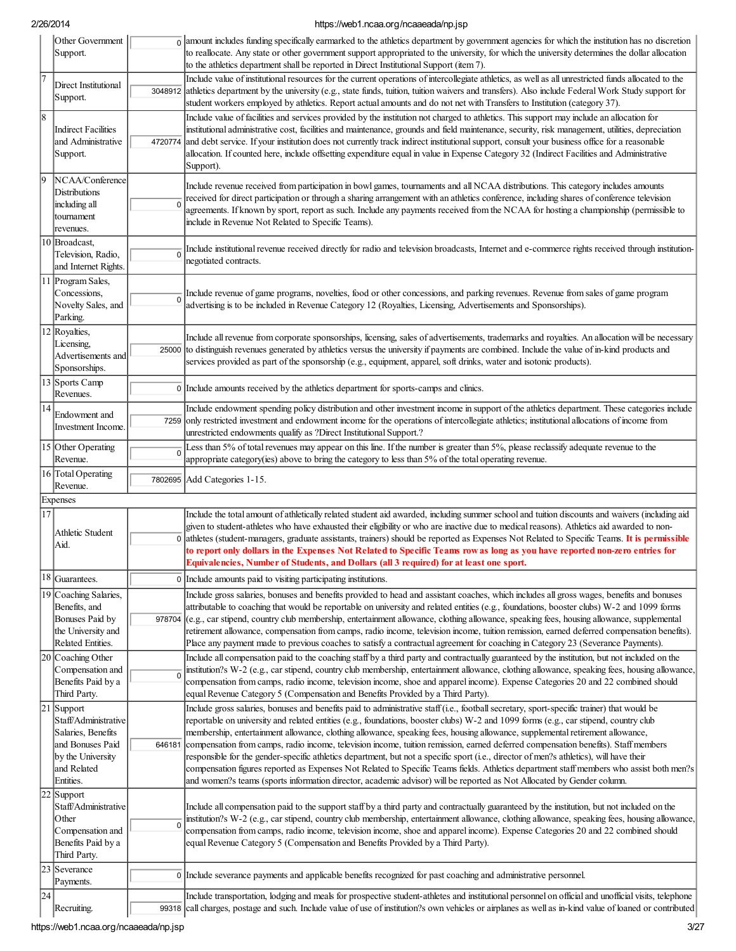|    | Other Government<br>Support.                                                                                                  |             | $\frac{1}{0}$ amount includes funding specifically earmarked to the athletics department by government agencies for which the institution has no discretion<br>to reallocate. Any state or other government support appropriated to the university, for which the university determines the dollar allocation<br>to the athletics department shall be reported in Direct Institutional Support (item 7).                                                                                                                                                                                                                                                                                                                                                                                                                                                                                                                                                                  |
|----|-------------------------------------------------------------------------------------------------------------------------------|-------------|---------------------------------------------------------------------------------------------------------------------------------------------------------------------------------------------------------------------------------------------------------------------------------------------------------------------------------------------------------------------------------------------------------------------------------------------------------------------------------------------------------------------------------------------------------------------------------------------------------------------------------------------------------------------------------------------------------------------------------------------------------------------------------------------------------------------------------------------------------------------------------------------------------------------------------------------------------------------------|
|    | Direct Institutional<br>Support.                                                                                              | 3048912     | Include value of institutional resources for the current operations of intercollegiate athletics, as well as all unrestricted funds allocated to the<br>athletics department by the university (e.g., state funds, tuition, tuition waivers and transfers). Also include Federal Work Study support for<br>student workers employed by athletics. Report actual amounts and do not net with Transfers to Institution (category 37).                                                                                                                                                                                                                                                                                                                                                                                                                                                                                                                                       |
| 8  | <b>Indirect Facilities</b><br>and Administrative<br>Support.                                                                  | 4720774     | Include value of facilities and services provided by the institution not charged to athletics. This support may include an allocation for<br>institutional administrative cost, facilities and maintenance, grounds and field maintenance, security, risk management, utilities, depreciation<br>and debt service. If your institution does not currently track indirect institutional support, consult your business office for a reasonable<br>allocation. If counted here, include offsetting expenditure equal in value in Expense Category 32 (Indirect Facilities and Administrative<br>Support).                                                                                                                                                                                                                                                                                                                                                                   |
|    | NCAA/Conference<br><b>Distributions</b><br>including all<br>tournament<br>revenues.                                           | $\mathbf 0$ | Include revenue received from participation in bowl games, tournaments and all NCAA distributions. This category includes amounts<br>received for direct participation or through a sharing arrangement with an athletics conference, including shares of conference television<br>agreements. If known by sport, report as such. Include any payments received from the NCAA for hosting a championship (permissible to<br>include in Revenue Not Related to Specific Teams).                                                                                                                                                                                                                                                                                                                                                                                                                                                                                            |
|    | 10 Broadcast,<br>Television, Radio,<br>and Internet Rights.                                                                   | $\Omega$    | Include institutional revenue received directly for radio and television broadcasts, Internet and e-commerce rights received through institution-<br>negotiated contracts.                                                                                                                                                                                                                                                                                                                                                                                                                                                                                                                                                                                                                                                                                                                                                                                                |
|    | 11 Program Sales,<br>Concessions,<br>Novelty Sales, and<br>Parking.                                                           | $\Omega$    | Include revenue of game programs, novelties, food or other concessions, and parking revenues. Revenue from sales of game program<br>advertising is to be included in Revenue Category 12 (Royalties, Licensing, Advertisements and Sponsorships).                                                                                                                                                                                                                                                                                                                                                                                                                                                                                                                                                                                                                                                                                                                         |
|    | 12 Royalties,<br>Licensing<br>Advertisements and<br>Sponsorships.                                                             |             | Include all revenue from corporate sponsorships, licensing, sales of advertisements, trademarks and royalties. An allocation will be necessary<br>25000 to distinguish revenues generated by athletics versus the university if payments are combined. Include the value of in-kind products and<br>services provided as part of the sponsorship (e.g., equipment, apparel, soft drinks, water and isotonic products).                                                                                                                                                                                                                                                                                                                                                                                                                                                                                                                                                    |
|    | 13 Sports Camp<br>Revenues.                                                                                                   |             | 0 Include amounts received by the athletics department for sports-camps and clinics.                                                                                                                                                                                                                                                                                                                                                                                                                                                                                                                                                                                                                                                                                                                                                                                                                                                                                      |
| 14 | Endowment and<br>Investment Income.                                                                                           |             | Include endowment spending policy distribution and other investment income in support of the athletics department. These categories include<br>7259 only restricted investment and endowment income for the operations of intercollegiate athletics; institutional allocations of income from<br>unrestricted endowments qualify as ?Direct Institutional Support.?                                                                                                                                                                                                                                                                                                                                                                                                                                                                                                                                                                                                       |
|    | 15 Other Operating<br>Revenue.                                                                                                | $\Omega$    | Less than 5% of total revenues may appear on this line. If the number is greater than 5%, please reclassify adequate revenue to the<br>appropriate category(ies) above to bring the category to less than 5% of the total operating revenue.                                                                                                                                                                                                                                                                                                                                                                                                                                                                                                                                                                                                                                                                                                                              |
|    | 16 Total Operating<br>Revenue.                                                                                                |             | 7802695 Add Categories 1-15.                                                                                                                                                                                                                                                                                                                                                                                                                                                                                                                                                                                                                                                                                                                                                                                                                                                                                                                                              |
|    | Expenses                                                                                                                      |             |                                                                                                                                                                                                                                                                                                                                                                                                                                                                                                                                                                                                                                                                                                                                                                                                                                                                                                                                                                           |
| 17 | Athletic Student<br>Aid.                                                                                                      |             | Include the total amount of athletically related student aid awarded, including summer school and tuition discounts and waivers (including aid<br>given to student-athletes who have exhausted their eligibility or who are inactive due to medical reasons). Athletics aid awarded to non-<br>0 athletes (student-managers, graduate assistants, trainers) should be reported as Expenses Not Related to Specific Teams. It is permissible<br>to report only dollars in the Expenses Not Related to Specific Teams row as long as you have reported non-zero entries for<br>Equivalencies, Number of Students, and Dollars (all 3 required) for at least one sport.                                                                                                                                                                                                                                                                                                      |
|    | 18 Guarantees.                                                                                                                |             | 0 Include amounts paid to visiting participating institutions.                                                                                                                                                                                                                                                                                                                                                                                                                                                                                                                                                                                                                                                                                                                                                                                                                                                                                                            |
|    | 19 Coaching Salaries,<br>Benefits, and<br>Bonuses Paid by<br>the University and<br>Related Entities.                          |             | Include gross salaries, bonuses and benefits provided to head and assistant coaches, which includes all gross wages, benefits and bonuses<br>attributable to coaching that would be reportable on university and related entities (e.g., foundations, booster clubs) W-2 and 1099 forms<br>978704 $ $ (e.g., car stipend, country club membership, entertainment allowance, clothing allowance, speaking fees, housing allowance, supplemental<br>retirement allowance, compensation from camps, radio income, television income, tuition remission, earned deferred compensation benefits).<br>Place any payment made to previous coaches to satisfy a contractual agreement for coaching in Category 23 (Severance Payments).                                                                                                                                                                                                                                           |
|    | 20 Coaching Other<br>Compensation and<br>Benefits Paid by a<br>Third Party.                                                   | $\Omega$    | Include all compensation paid to the coaching staff by a third party and contractually guaranteed by the institution, but not included on the<br>institution?s W-2 (e.g., car stipend, country club membership, entertainment allowance, clothing allowance, speaking fees, housing allowance,<br>compensation from camps, radio income, television income, shoe and apparel income). Expense Categories 20 and 22 combined should<br>equal Revenue Category 5 (Compensation and Benefits Provided by a Third Party).                                                                                                                                                                                                                                                                                                                                                                                                                                                     |
|    | 21 Support<br>Staff/Administrative<br>Salaries, Benefits<br>and Bonuses Paid<br>by the University<br>and Related<br>Entities. | 646181      | Include gross salaries, bonuses and benefits paid to administrative staff (i.e., football secretary, sport-specific trainer) that would be<br>reportable on university and related entities (e.g., foundations, booster clubs) W-2 and 1099 forms (e.g., car stipend, country club<br>membership, entertainment allowance, clothing allowance, speaking fees, housing allowance, supplemental retirement allowance,<br>compensation from camps, radio income, television income, tuition remission, earned deferred compensation benefits). Staff members<br>responsible for the gender-specific athletics department, but not a specific sport (i.e., director of men?s athletics), will have their<br>compensation figures reported as Expenses Not Related to Specific Teams fields. Athletics department staff members who assist both men?s<br>and women?s teams (sports information director, academic advisor) will be reported as Not Allocated by Gender column. |
|    | 22 Support<br>Staff/Administrative<br>Other<br>Compensation and<br>Benefits Paid by a<br>Third Party.                         | $\mathbf 0$ | Include all compensation paid to the support staff by a third party and contractually guaranteed by the institution, but not included on the<br>institution?s W-2 (e.g., car stipend, country club membership, entertainment allowance, clothing allowance, speaking fees, housing allowance,<br>compensation from camps, radio income, television income, shoe and apparel income). Expense Categories 20 and 22 combined should<br>equal Revenue Category 5 (Compensation and Benefits Provided by a Third Party).                                                                                                                                                                                                                                                                                                                                                                                                                                                      |
|    | Severance<br>Payments.                                                                                                        |             | 0 Include severance payments and applicable benefits recognized for past coaching and administrative personnel.                                                                                                                                                                                                                                                                                                                                                                                                                                                                                                                                                                                                                                                                                                                                                                                                                                                           |
| 24 |                                                                                                                               |             |                                                                                                                                                                                                                                                                                                                                                                                                                                                                                                                                                                                                                                                                                                                                                                                                                                                                                                                                                                           |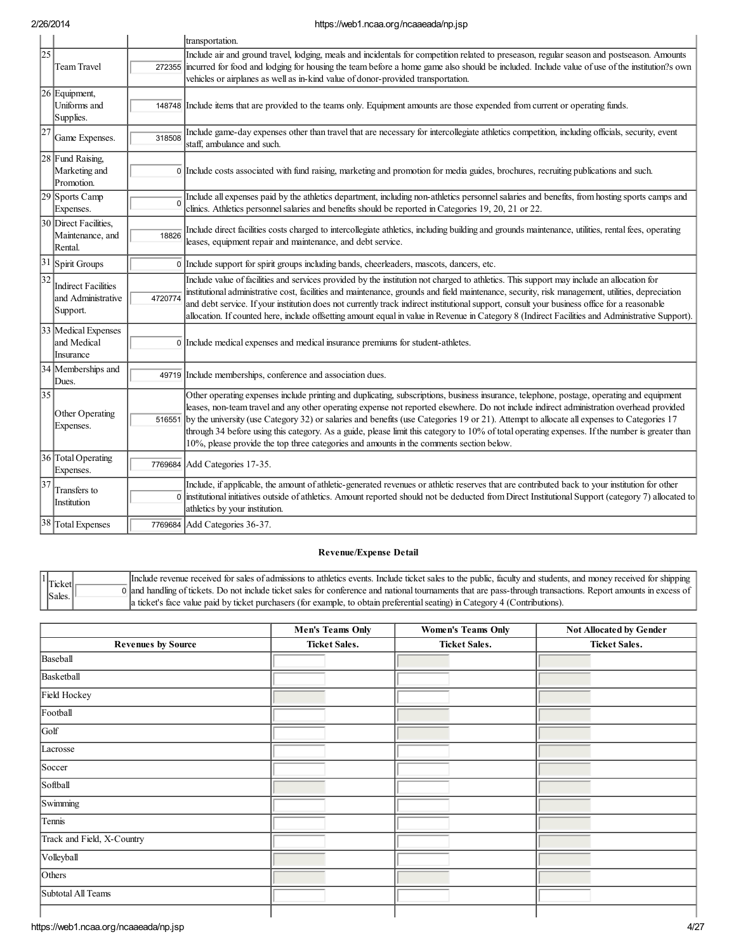|                 |                                                              |          | transportation.                                                                                                                                                                                                                                                                                                                                                                                                                                                                                                                                                                                                                                                                  |
|-----------------|--------------------------------------------------------------|----------|----------------------------------------------------------------------------------------------------------------------------------------------------------------------------------------------------------------------------------------------------------------------------------------------------------------------------------------------------------------------------------------------------------------------------------------------------------------------------------------------------------------------------------------------------------------------------------------------------------------------------------------------------------------------------------|
| $\overline{25}$ | <b>Team Travel</b>                                           | 272355   | Include air and ground travel, lodging, meals and incidentals for competition related to preseason, regular season and postseason. Amounts<br>incurred for food and lodging for housing the team before a home game also should be included. Include value of use of the institution?s own<br>vehicles or airplanes as well as in-kind value of donor-provided transportation.                                                                                                                                                                                                                                                                                                   |
|                 | 26 Equipment,<br>Uniforms and<br>Supplies.                   | 148748   | Include items that are provided to the teams only. Equipment amounts are those expended from current or operating funds.                                                                                                                                                                                                                                                                                                                                                                                                                                                                                                                                                         |
| 27              | Game Expenses.                                               | 318508   | Include game-day expenses other than travel that are necessary for intercollegiate athletics competition, including officials, security, event<br>staff, ambulance and such.                                                                                                                                                                                                                                                                                                                                                                                                                                                                                                     |
|                 | 28 Fund Raising,<br>Marketing and<br>Promotion.              |          | 0 Include costs associated with fund raising, marketing and promotion for media guides, brochures, recruiting publications and such.                                                                                                                                                                                                                                                                                                                                                                                                                                                                                                                                             |
|                 | 29 Sports Camp<br>Expenses.                                  | $\Omega$ | Include all expenses paid by the athletics department, including non-athletics personnel salaries and benefits, from hosting sports camps and<br>clinics. Athletics personnel salaries and benefits should be reported in Categories 19, 20, 21 or 22.                                                                                                                                                                                                                                                                                                                                                                                                                           |
|                 | 30 Direct Facilities,<br>Maintenance, and<br>Rental.         | 18826    | Include direct facilities costs charged to intercollegiate athletics, including building and grounds maintenance, utilities, rental fees, operating<br>leases, equipment repair and maintenance, and debt service.                                                                                                                                                                                                                                                                                                                                                                                                                                                               |
| $\overline{31}$ | Spirit Groups                                                | 0 l      | Include support for spirit groups including bands, cheerleaders, mascots, dancers, etc.                                                                                                                                                                                                                                                                                                                                                                                                                                                                                                                                                                                          |
| $\overline{32}$ | <b>Indirect Facilities</b><br>and Administrative<br>Support. | 4720774  | Include value of facilities and services provided by the institution not charged to athletics. This support may include an allocation for<br>institutional administrative cost, facilities and maintenance, grounds and field maintenance, security, risk management, utilities, depreciation<br>and debt service. If your institution does not currently track indirect institutional support, consult your business office for a reasonable<br>allocation. If counted here, include offsetting amount equal in value in Revenue in Category 8 (Indirect Facilities and Administrative Support).                                                                                |
|                 | 33 Medical Expenses<br>land Medical<br>Insurance             |          | 0 Include medical expenses and medical insurance premiums for student-athletes.                                                                                                                                                                                                                                                                                                                                                                                                                                                                                                                                                                                                  |
|                 | 34 Memberships and<br>Dues.                                  |          | 49719 Include memberships, conference and association dues.                                                                                                                                                                                                                                                                                                                                                                                                                                                                                                                                                                                                                      |
| $\overline{35}$ | Other Operating<br>Expenses.                                 | 516551   | Other operating expenses include printing and duplicating, subscriptions, business insurance, telephone, postage, operating and equipment<br>leases, non-team travel and any other operating expense not reported elsewhere. Do not include indirect administration overhead provided<br>by the university (use Category 32) or salaries and benefits (use Categories 19 or 21). Attempt to allocate all expenses to Categories 17<br>through 34 before using this category. As a guide, please limit this category to 10% of total operating expenses. If the number is greater than<br>10%, please provide the top three categories and amounts in the comments section below. |
|                 | 36 Total Operating<br>Expenses.                              | 7769684  | Add Categories 17-35.                                                                                                                                                                                                                                                                                                                                                                                                                                                                                                                                                                                                                                                            |
| 37              | Transfers to<br>Institution                                  |          | Include, if applicable, the amount of athletic-generated revenues or athletic reserves that are contributed back to your institution for other<br>0 institutional initiatives outside of athletics. Amount reported should not be deducted from Direct Institutional Support (category 7) allocated to<br>athletics by your institution.                                                                                                                                                                                                                                                                                                                                         |
|                 | 38 Total Expenses                                            |          | 7769684 Add Categories 36-37.                                                                                                                                                                                                                                                                                                                                                                                                                                                                                                                                                                                                                                                    |

## Revenue/Expense Detail

**Ticket** Sales. 0 and handling of tickets. Do not include ticket sales for conference and national tournaments that are pass-through transactions. Report amounts in excess of Include revenue received for sales of admissions to athletics events. Include ticket sales to the public, faculty and students, and money received for shipping a ticket's face value paid by ticket purchasers (for example, to obtain preferentialseating) in Category 4 (Contributions).

|                            | <b>Men's Teams Only</b> | <b>Women's Teams Only</b> | Not Allocated by Gender |
|----------------------------|-------------------------|---------------------------|-------------------------|
| <b>Revenues by Source</b>  | <b>Ticket Sales.</b>    | <b>Ticket Sales.</b>      | <b>Ticket Sales.</b>    |
| Baseball                   |                         |                           |                         |
| Basketball                 |                         |                           |                         |
| Field Hockey               |                         |                           |                         |
| Football                   |                         |                           |                         |
| Golf                       |                         |                           |                         |
| Lacrosse                   |                         |                           |                         |
| Soccer                     |                         |                           |                         |
| Softball                   |                         |                           |                         |
| Swimming                   |                         |                           |                         |
| Tennis                     |                         |                           |                         |
| Track and Field, X-Country |                         |                           |                         |
| Volleyball                 |                         |                           |                         |
| Others                     |                         |                           |                         |
| Subtotal All Teams         |                         |                           |                         |
|                            |                         |                           |                         |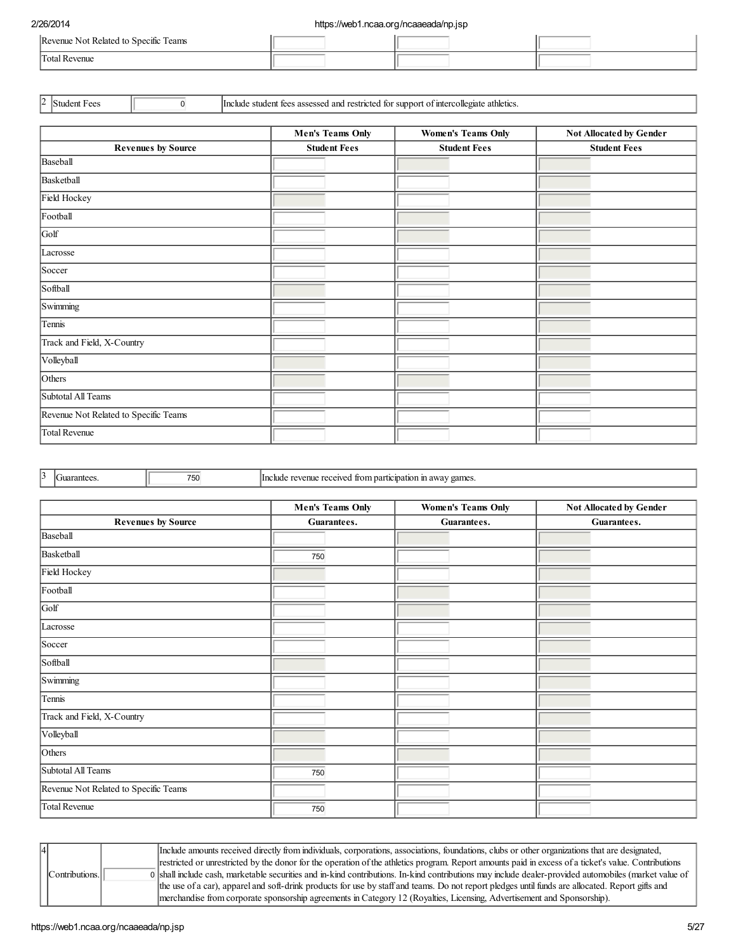| Revenue Not Related to Specific Teams |  |  |
|---------------------------------------|--|--|
| Total Revenue                         |  |  |

<sup>2</sup> Student Fees **1 Include student fees assessed and restricted for support of intercollegiate athletics.** 

|                                       | <b>Men's Teams Only</b> | <b>Women's Teams Only</b> | Not Allocated by Gender |  |
|---------------------------------------|-------------------------|---------------------------|-------------------------|--|
| <b>Revenues by Source</b>             | <b>Student Fees</b>     | <b>Student Fees</b>       | <b>Student Fees</b>     |  |
| Baseball                              |                         |                           |                         |  |
| Basketball                            |                         |                           |                         |  |
| Field Hockey                          |                         |                           |                         |  |
| Football                              |                         |                           |                         |  |
| Golf                                  |                         |                           |                         |  |
| Lacrosse                              |                         |                           |                         |  |
| Soccer                                |                         |                           |                         |  |
| Softball                              |                         |                           |                         |  |
| Swimming                              |                         |                           |                         |  |
| Tennis                                |                         |                           |                         |  |
| Track and Field, X-Country            |                         |                           |                         |  |
| Volleyball                            |                         |                           |                         |  |
| Others                                |                         |                           |                         |  |
| Subtotal All Teams                    |                         |                           |                         |  |
| Revenue Not Related to Specific Teams |                         |                           |                         |  |
| Total Revenue                         |                         |                           |                         |  |

 $\begin{array}{|l|l|}\n 3 & \text{Guarantees.} \\
\hline\n 750 & \text{Include revenue received from participation in away games.}\n\end{array}$ 

|                                       | <b>Men's Teams Only</b> | <b>Women's Teams Only</b> | Not Allocated by Gender |
|---------------------------------------|-------------------------|---------------------------|-------------------------|
| <b>Revenues by Source</b>             | Guarantees.             | Guarantees.               | Guarantees.             |
| Baseball                              |                         |                           |                         |
| Basketball                            | 750                     |                           |                         |
| Field Hockey                          |                         |                           |                         |
| Football                              |                         |                           |                         |
| Golf                                  |                         |                           |                         |
| Lacrosse                              |                         |                           |                         |
| Soccer                                |                         |                           |                         |
| Softball                              |                         |                           |                         |
| Swimming                              |                         |                           |                         |
| Tennis                                |                         |                           |                         |
| Track and Field, X-Country            |                         |                           |                         |
| Volleyball                            |                         |                           |                         |
| Others                                |                         |                           |                         |
| Subtotal All Teams                    | 750                     |                           |                         |
| Revenue Not Related to Specific Teams |                         |                           |                         |
| Total Revenue                         | 750                     |                           |                         |

|  |                                                                                                                                                  |  | Include amounts received directly from individuals, corporations, associations, foundations, clubs or other organizations that are designated,        |
|--|--------------------------------------------------------------------------------------------------------------------------------------------------|--|-------------------------------------------------------------------------------------------------------------------------------------------------------|
|  |                                                                                                                                                  |  | restricted or unrestricted by the donor for the operation of the athletics program. Report amounts paid in excess of a ticket's value. Contributions  |
|  | Contributions.                                                                                                                                   |  | 0 shall include cash, marketable securities and in-kind contributions. In-kind contributions may include dealer-provided automobiles (market value of |
|  | the use of a car), apparel and soft-drink products for use by staff and teams. Do not report pledges until funds are allocated. Report gifts and |  |                                                                                                                                                       |
|  |                                                                                                                                                  |  | merchandise from corporate sponsorship agreements in Category 12 (Royalties, Licensing, Advertisement and Sponsorship).                               |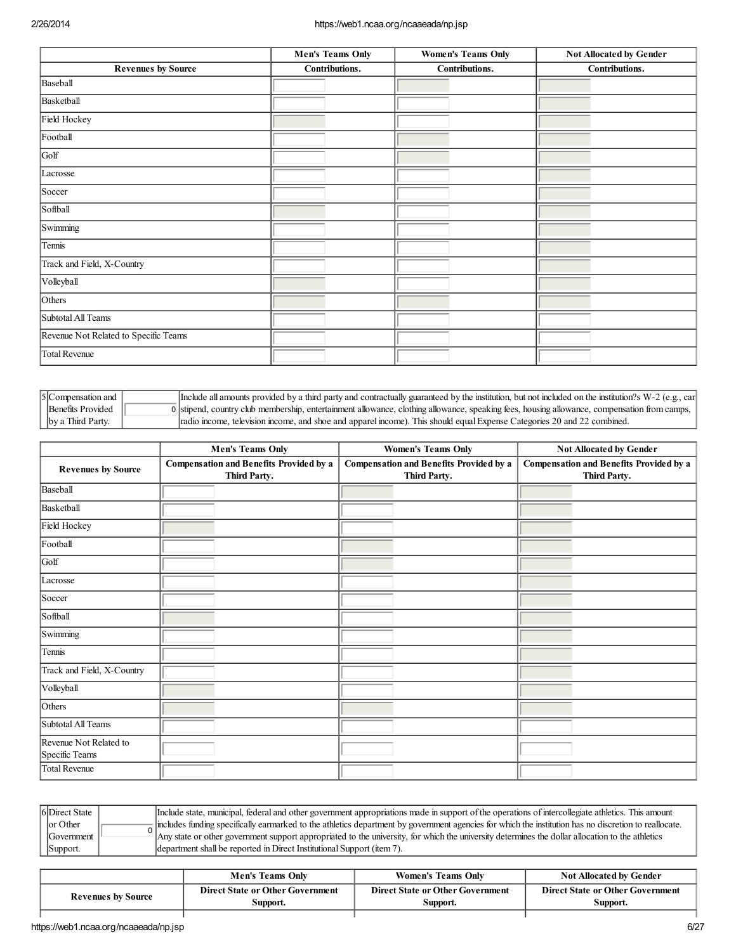|                                       | <b>Men's Teams Only</b> |  | <b>Women's Teams Only</b> |  | <b>Not Allocated by Gender</b> |  |
|---------------------------------------|-------------------------|--|---------------------------|--|--------------------------------|--|
| <b>Revenues by Source</b>             | Contributions.          |  | Contributions.            |  | Contributions.                 |  |
| Baseball                              |                         |  |                           |  |                                |  |
| Basketball                            |                         |  |                           |  |                                |  |
| Field Hockey                          |                         |  |                           |  |                                |  |
| Football                              |                         |  |                           |  |                                |  |
| Golf                                  |                         |  |                           |  |                                |  |
| Lacrosse                              |                         |  |                           |  |                                |  |
| Soccer                                |                         |  |                           |  |                                |  |
| Softball                              |                         |  |                           |  |                                |  |
| Swimming                              |                         |  |                           |  |                                |  |
| Tennis                                |                         |  |                           |  |                                |  |
| Track and Field, X-Country            |                         |  |                           |  |                                |  |
| Volleyball                            |                         |  |                           |  |                                |  |
| Others                                |                         |  |                           |  |                                |  |
| Subtotal All Teams                    |                         |  |                           |  |                                |  |
| Revenue Not Related to Specific Teams |                         |  |                           |  |                                |  |
| Total Revenue                         |                         |  |                           |  |                                |  |

| $ 5 $ Compensation and $ $ | Include all amounts provided by a third party and contractually guaranteed by the institution, but not included on the institution? W-2 (e.g., car |
|----------------------------|----------------------------------------------------------------------------------------------------------------------------------------------------|
| Benefits Provided          | 0 stipend, country club membership, entertainment allowance, clothing allowance, speaking fees, housing allowance, compensation from camps,        |
| by a Third Party.          | radio income, television income, and shoe and apparel income). This should equal Expense Categories 20 and 22 combined.                            |

|                                          | <b>Men's Teams Only</b>                                        | <b>Women's Teams Only</b>                                      | Not Allocated by Gender                                 |  |
|------------------------------------------|----------------------------------------------------------------|----------------------------------------------------------------|---------------------------------------------------------|--|
| <b>Revenues by Source</b>                | <b>Compensation and Benefits Provided by a</b><br>Third Party. | <b>Compensation and Benefits Provided by a</b><br>Third Party. | Compensation and Benefits Provided by a<br>Third Party. |  |
| Baseball                                 |                                                                |                                                                |                                                         |  |
| Basketball                               |                                                                |                                                                |                                                         |  |
| Field Hockey                             |                                                                |                                                                |                                                         |  |
| Football                                 |                                                                |                                                                |                                                         |  |
| Golf                                     |                                                                |                                                                |                                                         |  |
| Lacrosse                                 |                                                                |                                                                |                                                         |  |
| Soccer                                   |                                                                |                                                                |                                                         |  |
| Softball                                 |                                                                |                                                                |                                                         |  |
| Swimming                                 |                                                                |                                                                |                                                         |  |
| Tennis                                   |                                                                |                                                                |                                                         |  |
| Track and Field, X-Country               |                                                                |                                                                |                                                         |  |
| Volleyball                               |                                                                |                                                                |                                                         |  |
| Others                                   |                                                                |                                                                |                                                         |  |
| Subtotal All Teams                       |                                                                |                                                                |                                                         |  |
| Revenue Not Related to<br>Specific Teams |                                                                |                                                                |                                                         |  |
| Total Revenue                            |                                                                |                                                                |                                                         |  |

| 6Direct State | Include state, municipal, federal and other government appropriations made in support of the operations of intercollegiate athletics. This amount                    |
|---------------|----------------------------------------------------------------------------------------------------------------------------------------------------------------------|
| or Other      | $\frac{1}{2}$ lincludes funding specifically earmarked to the athletics department by government agencies for which the institution has no discretion to reallocate. |
| Government    | Any state or other government support appropriated to the university, for which the university determines the dollar allocation to the athletics                     |
| Support.      | department shall be reported in Direct Institutional Support (item 7).                                                                                               |

|                           | <b>Men's Teams Only</b>                             | <b>Women's Teams Only</b>                           | <b>Not Allocated by Gender</b>                      |
|---------------------------|-----------------------------------------------------|-----------------------------------------------------|-----------------------------------------------------|
| <b>Revenues by Source</b> | <b>Direct State or Other Government</b><br>Support. | <b>Direct State or Other Government</b><br>Support. | <b>Direct State or Other Government</b><br>Support. |
|                           |                                                     |                                                     |                                                     |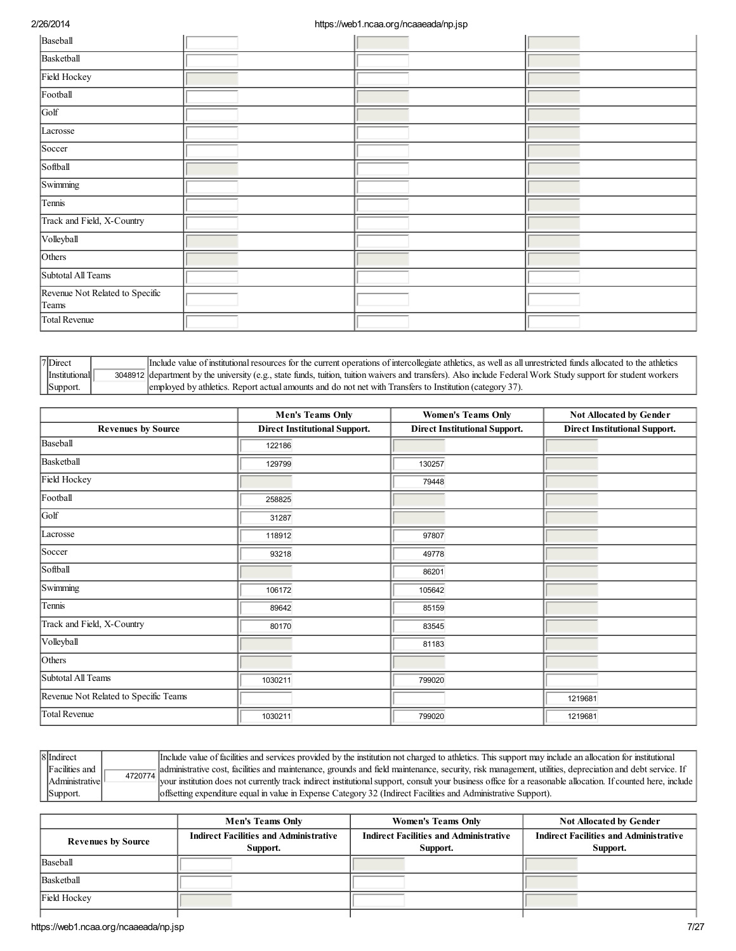| Baseball                                 |  |  |
|------------------------------------------|--|--|
| Basketball                               |  |  |
| Field Hockey                             |  |  |
| Football                                 |  |  |
| Golf                                     |  |  |
| Lacrosse                                 |  |  |
| Soccer                                   |  |  |
| Softball                                 |  |  |
| Swimming                                 |  |  |
| Tennis                                   |  |  |
| Track and Field, X-Country               |  |  |
| Volleyball                               |  |  |
| Others                                   |  |  |
| Subtotal All Teams                       |  |  |
| Revenue Not Related to Specific<br>Teams |  |  |
| Total Revenue                            |  |  |

| <sup>'7</sup> Direct | Include value of institutional resources for the current operations of intercollegiate athletics, as well as all unrestricted funds allocated to the athletics |
|----------------------|----------------------------------------------------------------------------------------------------------------------------------------------------------------|
| Institutional        | 3048912 department by the university (e.g., state funds, tuition, tuition waivers and transfers). Also include Federal Work Study support for student workers  |
| Support.             | employed by athletics. Report actual amounts and do not net with Transfers to Institution (category 37).                                                       |

|                                       | <b>Men's Teams Only</b>              | <b>Women's Teams Only</b>            | Not Allocated by Gender              |
|---------------------------------------|--------------------------------------|--------------------------------------|--------------------------------------|
| <b>Revenues by Source</b>             | <b>Direct Institutional Support.</b> | <b>Direct Institutional Support.</b> | <b>Direct Institutional Support.</b> |
| Baseball                              | 122186                               |                                      |                                      |
| Basketball                            | 129799                               | 130257                               |                                      |
| Field Hockey                          |                                      | 79448                                |                                      |
| Football                              | 258825                               |                                      |                                      |
| Golf                                  | 31287                                |                                      |                                      |
| Lacrosse                              | 118912                               | 97807                                |                                      |
| Soccer                                | 93218                                | 49778                                |                                      |
| Softball                              |                                      | 86201                                |                                      |
| Swimming                              | 106172                               | 105642                               |                                      |
| Tennis                                | 89642                                | 85159                                |                                      |
| Track and Field, X-Country            | 80170                                | 83545                                |                                      |
| Volleyball                            |                                      | 81183                                |                                      |
| $\overline{\text{O}}$ thers           |                                      |                                      |                                      |
| Subtotal All Teams                    | 1030211                              | 799020                               |                                      |
| Revenue Not Related to Specific Teams |                                      |                                      | 1219681                              |
| Total Revenue                         | 1030211                              | 799020                               | 1219681                              |

8 Indirect Facilities and Administrative Support. 4720774

Include value of facilities and services provided by the institution not charged to athletics. This support may include an allocation for institutional administrative cost, facilities and maintenance, grounds and field maintenance, security, risk management, utilities, depreciation and debt service. If your institution does not currently track indirect institutionalsupport, consult your business office for a reasonable allocation. If counted here, include offsetting expenditure equal in value in Expense Category 32 (Indirect Facilities and Administrative Support).

|                           | <b>Men's Teams Only</b>                                   | <b>Women's Teams Only</b>                                 | <b>Not Allocated by Gender</b>                            |
|---------------------------|-----------------------------------------------------------|-----------------------------------------------------------|-----------------------------------------------------------|
| <b>Revenues by Source</b> | <b>Indirect Facilities and Administrative</b><br>Support. | <b>Indirect Facilities and Administrative</b><br>Support. | <b>Indirect Facilities and Administrative</b><br>Support. |
| Baseball                  |                                                           |                                                           |                                                           |
| Basketball                |                                                           |                                                           |                                                           |
| Field Hockey              |                                                           |                                                           |                                                           |
|                           |                                                           |                                                           |                                                           |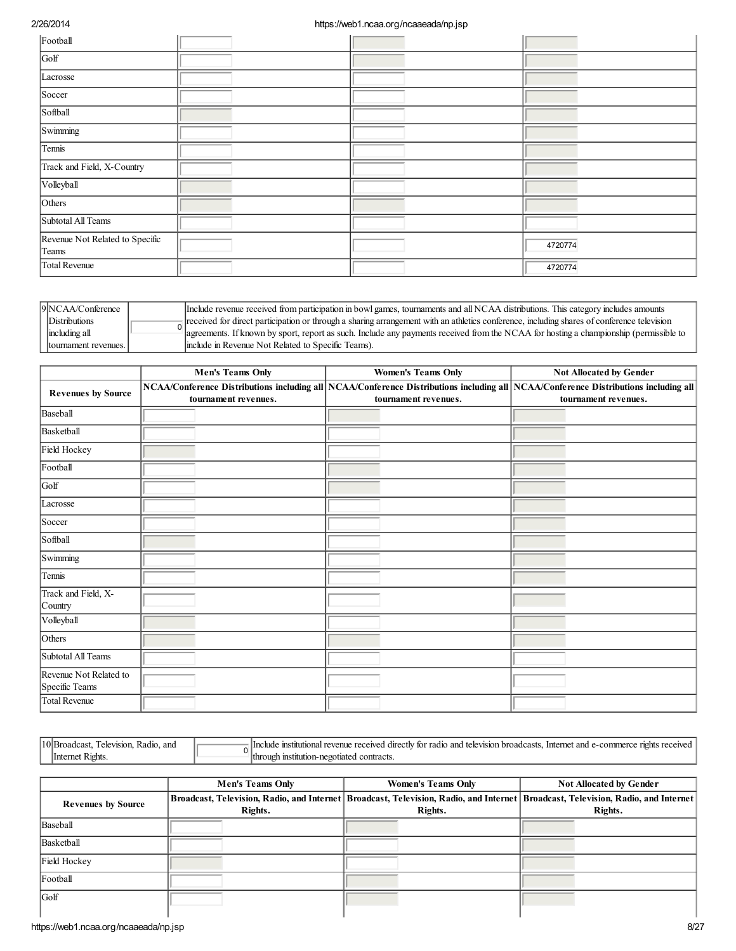| Football                                 |  |         |
|------------------------------------------|--|---------|
| Golf                                     |  |         |
| Lacrosse                                 |  |         |
| Soccer                                   |  |         |
| Softball                                 |  |         |
| Swimming                                 |  |         |
| Tennis                                   |  |         |
| Track and Field, X-Country               |  |         |
| Volleyball                               |  |         |
| Others                                   |  |         |
| Subtotal All Teams                       |  |         |
| Revenue Not Related to Specific<br>Teams |  | 4720774 |
| Total Revenue                            |  | 4720774 |

| 9NCAA/Conference      | Include revenue received from participation in bowl games, tournaments and all NCAA distributions. This category includes amounts            |
|-----------------------|----------------------------------------------------------------------------------------------------------------------------------------------|
| Distributions         | - received for direct participation or through a sharing arrangement with an athletics conference, including shares of conference television |
| including all         | agreements. If known by sport, report as such. Include any payments received from the NCAA for hosting a championship (permissible to        |
| Itournament revenues. | Include in Revenue Not Related to Specific Teams).                                                                                           |

|                                          | <b>Men's Teams Only</b> | <b>Women's Teams Only</b> | Not Allocated by Gender                                                                                                                                     |
|------------------------------------------|-------------------------|---------------------------|-------------------------------------------------------------------------------------------------------------------------------------------------------------|
| <b>Revenues by Source</b>                | tournament revenues.    | tournament revenues.      | NCAA/Conference Distributions including all NCAA/Conference Distributions including all NCAA/Conference Distributions including all<br>tournament revenues. |
| Baseball                                 |                         |                           |                                                                                                                                                             |
| Basketball                               |                         |                           |                                                                                                                                                             |
| Field Hockey                             |                         |                           |                                                                                                                                                             |
| Football                                 |                         |                           |                                                                                                                                                             |
| Golf                                     |                         |                           |                                                                                                                                                             |
| Lacrosse                                 |                         |                           |                                                                                                                                                             |
| Soccer                                   |                         |                           |                                                                                                                                                             |
| Softball                                 |                         |                           |                                                                                                                                                             |
| Swimming                                 |                         |                           |                                                                                                                                                             |
| Tennis                                   |                         |                           |                                                                                                                                                             |
| Track and Field, X-<br>Country           |                         |                           |                                                                                                                                                             |
| Volleyball                               |                         |                           |                                                                                                                                                             |
| Others                                   |                         |                           |                                                                                                                                                             |
| Subtotal All Teams                       |                         |                           |                                                                                                                                                             |
| Revenue Not Related to<br>Specific Teams |                         |                           |                                                                                                                                                             |
| Total Revenue                            |                         |                           |                                                                                                                                                             |

| 10E<br>and<br>Radi<br>™ vision.<br>.:ast<br>517). | ⊴Hnclude<br>ano<br>dire<br>easts<br>vision<br>۰Ħ٦.<br>radk<br>TAIA.<br>'en reg<br>recenz<br>ionts<br>nmme.<br>emie<br>erne.<br>ano<br>าทลเ<br>roc<br>,,,,<br>юı |
|---------------------------------------------------|-----------------------------------------------------------------------------------------------------------------------------------------------------------------|
| "¤ghts.<br>Чm.                                    | lthro<br>≏ontrac.<br>וור<br>regotiated<br>- Insi                                                                                                                |

|                                               | <b>Men's Teams Only</b> | <b>Women's Teams Only</b>                                                                                                                       | <b>Not Allocated by Gender</b> |
|-----------------------------------------------|-------------------------|-------------------------------------------------------------------------------------------------------------------------------------------------|--------------------------------|
| <b>Revenues by Source</b>                     | Rights.                 | Broadcast, Television, Radio, and Internet   Broadcast, Television, Radio, and Internet   Broadcast, Television, Radio, and Internet<br>Rights. | Rights.                        |
| Baseball                                      |                         |                                                                                                                                                 |                                |
| Basketball                                    |                         |                                                                                                                                                 |                                |
| Field Hockey                                  |                         |                                                                                                                                                 |                                |
| Football                                      |                         |                                                                                                                                                 |                                |
| Golf                                          |                         |                                                                                                                                                 |                                |
| 8/27<br>https://web1.ncaa.org/ncaaeada/np.jsp |                         |                                                                                                                                                 |                                |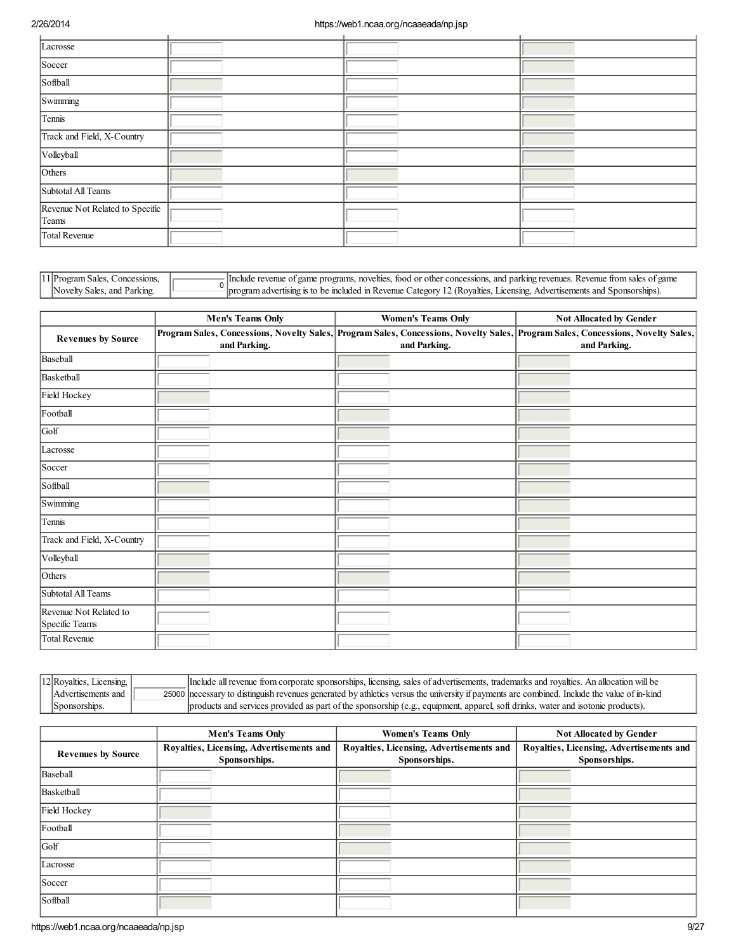| Lacrosse                        |  |  |
|---------------------------------|--|--|
| Soccer                          |  |  |
| Softball                        |  |  |
| Swimming                        |  |  |
| Tennis                          |  |  |
| Track and Field, X-Country      |  |  |
| Volleyball                      |  |  |
| Others                          |  |  |
| Subtotal All Teams              |  |  |
| Revenue Not Related to Specific |  |  |
| Teams                           |  |  |
| Total Revenue                   |  |  |

| 11 Program Sales, Concessions, |
|--------------------------------|
| Novelty Sales, and Parking.    |

 $\frac{1}{2}$  Include revenue of game programs, novelties, food or other concessions, and parking revenues. Revenue from sales of game program advertising is to be included in Revenue Category 12 (Royalties, Licensing, Advertisements and Sponsorships).

|                                          | <b>Men's Teams Only</b> | <b>Women's Teams Only</b> | <b>Not Allocated by Gender</b>                                                                                                                   |
|------------------------------------------|-------------------------|---------------------------|--------------------------------------------------------------------------------------------------------------------------------------------------|
| <b>Revenues by Source</b>                | and Parking.            | and Parking.              | Program Sales, Concessions, Novelty Sales, Program Sales, Concessions, Novelty Sales, Program Sales, Concessions, Novelty Sales,<br>and Parking. |
| Baseball                                 |                         |                           |                                                                                                                                                  |
| Basketball                               |                         |                           |                                                                                                                                                  |
| Field Hockey                             |                         |                           |                                                                                                                                                  |
| Football                                 |                         |                           |                                                                                                                                                  |
| Golf                                     |                         |                           |                                                                                                                                                  |
| Lacrosse                                 |                         |                           |                                                                                                                                                  |
| Soccer                                   |                         |                           |                                                                                                                                                  |
| Softball                                 |                         |                           |                                                                                                                                                  |
| Swimming                                 |                         |                           |                                                                                                                                                  |
| Tennis                                   |                         |                           |                                                                                                                                                  |
| Track and Field, X-Country               |                         |                           |                                                                                                                                                  |
| Volleyball                               |                         |                           |                                                                                                                                                  |
| Others                                   |                         |                           |                                                                                                                                                  |
| Subtotal All Teams                       |                         |                           |                                                                                                                                                  |
| Revenue Not Related to<br>Specific Teams |                         |                           |                                                                                                                                                  |
| Total Revenue                            |                         |                           |                                                                                                                                                  |

| $ 12 $ Royalties, Licensing, $ $ | Include all revenue from corporate sponsorships, licensing, sales of advertisements, trademarks and royalties. An allocation will be        |
|----------------------------------|---------------------------------------------------------------------------------------------------------------------------------------------|
| Advertisements and               | 25000 necessary to distinguish revenues generated by athletics versus the university if payments are combined. Include the value of in-kind |
| Sponsorships.                    | products and services provided as part of the sponsorship (e.g., equipment, apparel, soft drinks, water and isotonic products).             |

|                           | <b>Men's Teams Only</b>                                   | <b>Women's Teams Only</b>                                 | <b>Not Allocated by Gender</b>                            |
|---------------------------|-----------------------------------------------------------|-----------------------------------------------------------|-----------------------------------------------------------|
| <b>Revenues by Source</b> | Royalties, Licensing, Advertisements and<br>Sponsorships. | Royalties, Licensing, Advertisements and<br>Sponsorships. | Royalties, Licensing, Advertisements and<br>Sponsorships. |
| Baseball                  |                                                           |                                                           |                                                           |
| Basketball                |                                                           |                                                           |                                                           |
| Field Hockey              |                                                           |                                                           |                                                           |
| Football                  |                                                           |                                                           |                                                           |
| Golf                      |                                                           |                                                           |                                                           |
| Lacrosse                  |                                                           |                                                           |                                                           |
| Soccer                    |                                                           |                                                           |                                                           |
| Softball                  |                                                           |                                                           |                                                           |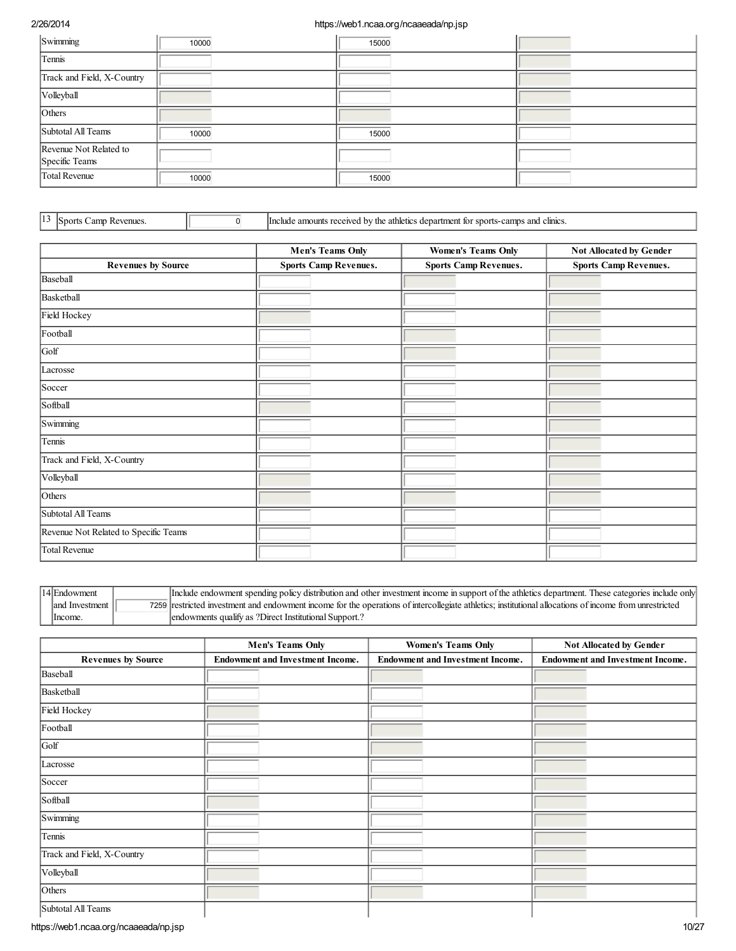| Swimming                                 | 10000 | 15000 |  |
|------------------------------------------|-------|-------|--|
| Tennis                                   |       |       |  |
| Track and Field, X-Country               |       |       |  |
| Volleyball                               |       |       |  |
| Others                                   |       |       |  |
| Subtotal All Teams                       | 10000 | 15000 |  |
| Revenue Not Related to<br>Specific Teams |       |       |  |
| Total Revenue                            | 10000 | 15000 |  |

|  | Sports Camp Revenues. |  |
|--|-----------------------|--|
|  |                       |  |

13 Sports Camp Revenues. <u>0 10</u> Include amounts received by the athletics department for sports-camps and clinics.

|                                       | <b>Men's Teams Only</b>      | <b>Women's Teams Only</b>    | Not Allocated by Gender      |  |  |
|---------------------------------------|------------------------------|------------------------------|------------------------------|--|--|
| <b>Revenues by Source</b>             | <b>Sports Camp Revenues.</b> | <b>Sports Camp Revenues.</b> | <b>Sports Camp Revenues.</b> |  |  |
| Baseball                              |                              |                              |                              |  |  |
| Basketball                            |                              |                              |                              |  |  |
| Field Hockey                          |                              |                              |                              |  |  |
| Football                              |                              |                              |                              |  |  |
| Golf                                  |                              |                              |                              |  |  |
| Lacrosse                              |                              |                              |                              |  |  |
| Soccer                                |                              |                              |                              |  |  |
| Softball                              |                              |                              |                              |  |  |
| Swimming                              |                              |                              |                              |  |  |
| Tennis                                |                              |                              |                              |  |  |
| Track and Field, X-Country            |                              |                              |                              |  |  |
| Volleyball                            |                              |                              |                              |  |  |
| Others                                |                              |                              |                              |  |  |
| Subtotal All Teams                    |                              |                              |                              |  |  |
| Revenue Not Related to Specific Teams |                              |                              |                              |  |  |
| Total Revenue                         |                              |                              |                              |  |  |

| 14 Endowment    | [Include endowment spending policy distribution and other investment income in support of the athletics department. These categories include only      |
|-----------------|--------------------------------------------------------------------------------------------------------------------------------------------------------|
| land Investment | 7259 restricted investment and endowment income for the operations of intercollegiate athletics; institutional allocations of income from unrestricted |
| Income.         | endowments qualify as ?Direct Institutional Support.?                                                                                                  |

|                            | <b>Men's Teams Only</b>                 | <b>Women's Teams Only</b>               | Not Allocated by Gender                 |  |  |
|----------------------------|-----------------------------------------|-----------------------------------------|-----------------------------------------|--|--|
| <b>Revenues by Source</b>  | <b>Endowment and Investment Income.</b> | <b>Endowment and Investment Income.</b> | <b>Endowment and Investment Income.</b> |  |  |
| Baseball                   |                                         |                                         |                                         |  |  |
| Basketball                 |                                         |                                         |                                         |  |  |
| Field Hockey               |                                         |                                         |                                         |  |  |
| Football                   |                                         |                                         |                                         |  |  |
| Golf                       |                                         |                                         |                                         |  |  |
| Lacrosse                   |                                         |                                         |                                         |  |  |
| Soccer                     |                                         |                                         |                                         |  |  |
| Softball                   |                                         |                                         |                                         |  |  |
| Swimming                   |                                         |                                         |                                         |  |  |
| Tennis                     |                                         |                                         |                                         |  |  |
| Track and Field, X-Country |                                         |                                         |                                         |  |  |
| Volleyball                 |                                         |                                         |                                         |  |  |
| Others                     |                                         |                                         |                                         |  |  |
| Subtotal All Teams         |                                         |                                         |                                         |  |  |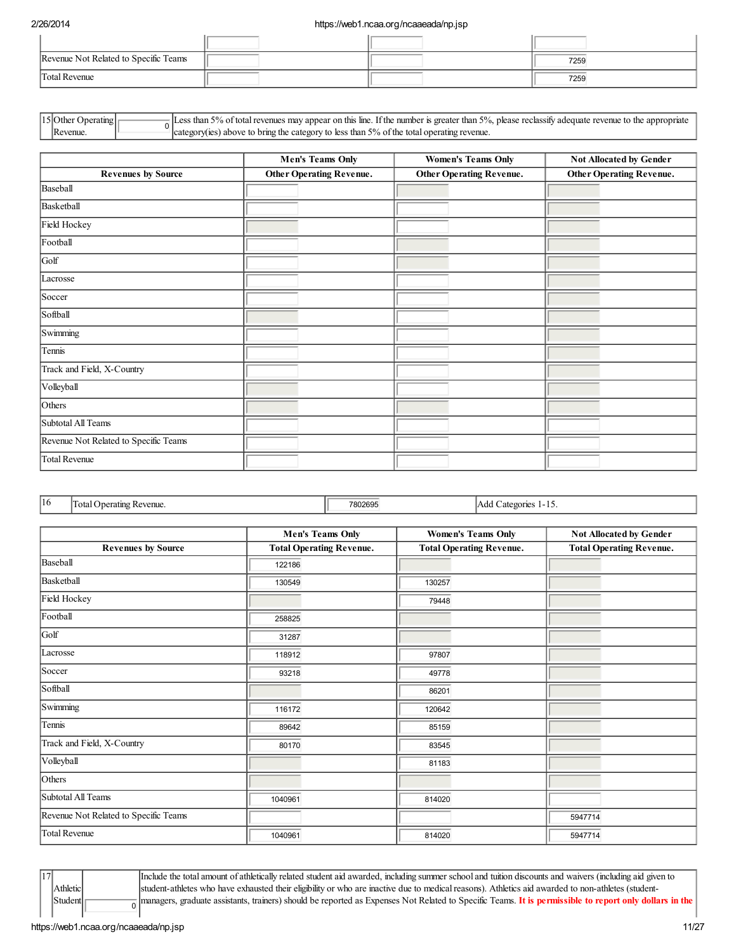| Revenue Not Related to Specific Teams |  | 7259 |
|---------------------------------------|--|------|
| Total Revenue                         |  | 7259 |

| $ 15 $ Other (<br>Operating | less than 5% of total revenues may appear on this line. If the number is greater than 5%, please reclassify adequate revenue to the appropriate |
|-----------------------------|-------------------------------------------------------------------------------------------------------------------------------------------------|
| Revenue.                    | $\degree$ category(ies) above to bring the category to less than 5% of the total operating revenue.                                             |

|                                       | <b>Men's Teams Only</b>         | <b>Women's Teams Only</b>       | Not Allocated by Gender         |  |  |
|---------------------------------------|---------------------------------|---------------------------------|---------------------------------|--|--|
| <b>Revenues by Source</b>             | <b>Other Operating Revenue.</b> | <b>Other Operating Revenue.</b> | <b>Other Operating Revenue.</b> |  |  |
| Baseball                              |                                 |                                 |                                 |  |  |
| Basketball                            |                                 |                                 |                                 |  |  |
| Field Hockey                          |                                 |                                 |                                 |  |  |
| Football                              |                                 |                                 |                                 |  |  |
| Golf                                  |                                 |                                 |                                 |  |  |
| Lacrosse                              |                                 |                                 |                                 |  |  |
| Soccer                                |                                 |                                 |                                 |  |  |
| Softball                              |                                 |                                 |                                 |  |  |
| Swimming                              |                                 |                                 |                                 |  |  |
| Tennis                                |                                 |                                 |                                 |  |  |
| Track and Field, X-Country            |                                 |                                 |                                 |  |  |
| Volleyball                            |                                 |                                 |                                 |  |  |
| Others                                |                                 |                                 |                                 |  |  |
| Subtotal All Teams                    |                                 |                                 |                                 |  |  |
| Revenue Not Related to Specific Teams |                                 |                                 |                                 |  |  |
| Total Revenue                         |                                 |                                 |                                 |  |  |

|  | $\mathbf{116}$ | $\sim$<br>'Iotal C<br>Revenue.<br>1222<br>atın<br>UCI 6 | 7802695 | Add<br>Categories<br>$1 - 1$ . |
|--|----------------|---------------------------------------------------------|---------|--------------------------------|
|  |                |                                                         |         |                                |

|                                       | <b>Men's Teams Only</b>         | <b>Women's Teams Only</b>       | Not Allocated by Gender         |
|---------------------------------------|---------------------------------|---------------------------------|---------------------------------|
| <b>Revenues by Source</b>             | <b>Total Operating Revenue.</b> | <b>Total Operating Revenue.</b> | <b>Total Operating Revenue.</b> |
| Baseball                              | 122186                          |                                 |                                 |
| Basketball                            | 130549                          | 130257                          |                                 |
| Field Hockey                          |                                 | 79448                           |                                 |
| Football                              | 258825                          |                                 |                                 |
| Golf                                  | 31287                           |                                 |                                 |
| Lacrosse                              | 118912                          | 97807                           |                                 |
| Soccer                                | 93218                           | 49778                           |                                 |
| Softball                              |                                 | 86201                           |                                 |
| Swimming                              | 116172                          | 120642                          |                                 |
| Tennis                                | 89642                           | 85159                           |                                 |
| Track and Field, X-Country            | 80170                           | 83545                           |                                 |
| Volleyball                            |                                 | 81183                           |                                 |
| Others                                |                                 |                                 |                                 |
| Subtotal All Teams                    | 1040961                         | 814020                          |                                 |
| Revenue Not Related to Specific Teams |                                 |                                 | 5947714                         |
| <b>Total Revenue</b>                  | 1040961                         | 814020                          | 5947714                         |

Athletic Student <sup>0</sup> Include the total amount of athletically related student aid awarded, including summer school and tuition discounts and waivers (including aid given to student-athletes who have exhausted their eligibility or who are inactive due to medical reasons). Athletics aid awarded to non-athletes (studentmanagers, graduate assistants, trainers) should be reported as Expenses Not Related to Specific Teams. It is permissible to report only dollars in the

 $\sqrt{17}$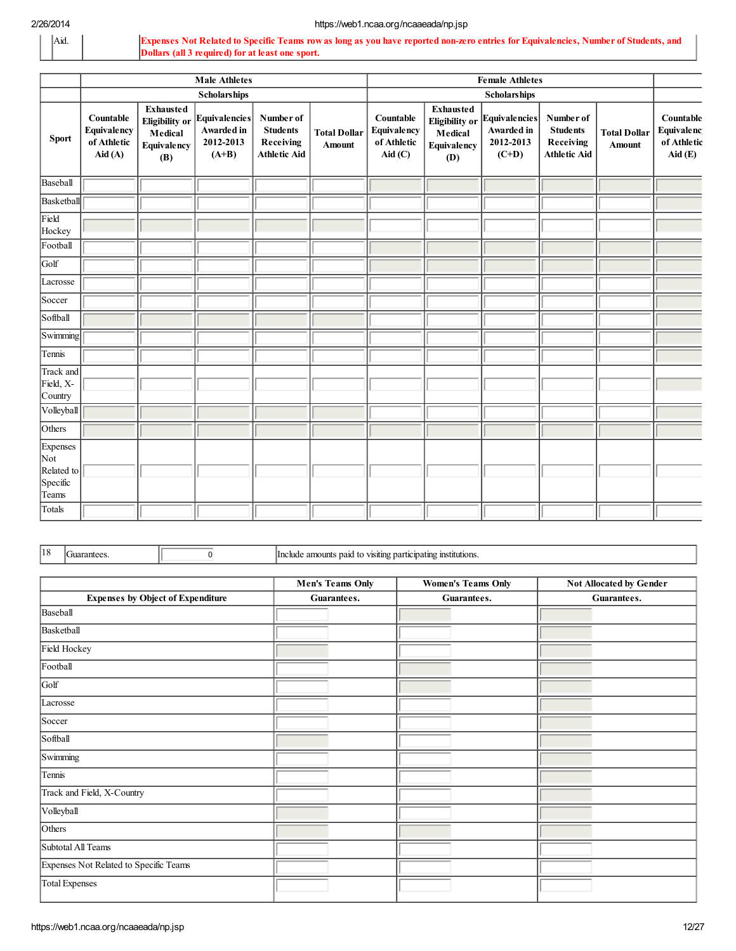Aid. Expenses Not Related to Specific Teams row as long as you have reported non-zero entries for Equivalencies, Number of Students, and Dollars (all 3 required) for at least one sport.

|                                                    | <b>Male Athletes</b>                                                         |                                                                            |                                                           | <b>Female Athletes</b>                                           |                               |                                                                              |                                                                            |                                                            |                                                                  |                               |                                                  |
|----------------------------------------------------|------------------------------------------------------------------------------|----------------------------------------------------------------------------|-----------------------------------------------------------|------------------------------------------------------------------|-------------------------------|------------------------------------------------------------------------------|----------------------------------------------------------------------------|------------------------------------------------------------|------------------------------------------------------------------|-------------------------------|--------------------------------------------------|
|                                                    |                                                                              |                                                                            | <b>Scholarships</b>                                       |                                                                  |                               | <b>Scholarships</b>                                                          |                                                                            |                                                            |                                                                  |                               |                                                  |
| <b>Sport</b>                                       | Countable<br><b>Equivalency</b><br>of Athletic<br>$\text{A}$ id $\text{(A)}$ | <b>Exhausted</b><br><b>Eligibility</b> or<br>Medical<br>Equivalency<br>(B) | ${\rm Equivalence}$<br>Awarded in<br>2012-2013<br>$(A+B)$ | Number of<br><b>Students</b><br>Receiving<br><b>Athletic Aid</b> | <b>Total Dollar</b><br>Amount | Countable<br>Equivalency<br>of Athletic<br>$\text{Aid}\left(\text{C}\right)$ | <b>Exhausted</b><br><b>Eligibility</b> or<br>Medical<br>Equivalency<br>(D) | <b>Equivalencies</b><br>Awarded in<br>2012-2013<br>$(C+D)$ | Number of<br><b>Students</b><br>Receiving<br><b>Athletic Aid</b> | <b>Total Dollar</b><br>Amount | Countable<br>Equivalenc<br>of Athletic<br>Aid(E) |
| Baseball                                           |                                                                              |                                                                            |                                                           |                                                                  |                               |                                                                              |                                                                            |                                                            |                                                                  |                               |                                                  |
| Basketball                                         |                                                                              |                                                                            |                                                           |                                                                  |                               |                                                                              |                                                                            |                                                            |                                                                  |                               |                                                  |
| Field<br>Hockey                                    |                                                                              |                                                                            |                                                           |                                                                  |                               |                                                                              |                                                                            |                                                            |                                                                  |                               |                                                  |
| Football                                           |                                                                              |                                                                            |                                                           |                                                                  |                               |                                                                              |                                                                            |                                                            |                                                                  |                               |                                                  |
| Golf                                               |                                                                              |                                                                            |                                                           |                                                                  |                               |                                                                              |                                                                            |                                                            |                                                                  |                               |                                                  |
| Lacrosse                                           |                                                                              |                                                                            |                                                           |                                                                  |                               |                                                                              |                                                                            |                                                            |                                                                  |                               |                                                  |
| Soccer                                             |                                                                              |                                                                            |                                                           |                                                                  |                               |                                                                              |                                                                            |                                                            |                                                                  |                               |                                                  |
| Softball                                           |                                                                              |                                                                            |                                                           |                                                                  |                               |                                                                              |                                                                            |                                                            |                                                                  |                               |                                                  |
| Swimming                                           |                                                                              |                                                                            |                                                           |                                                                  |                               |                                                                              |                                                                            |                                                            |                                                                  |                               |                                                  |
| Tennis                                             |                                                                              |                                                                            |                                                           |                                                                  |                               |                                                                              |                                                                            |                                                            |                                                                  |                               |                                                  |
| Track and<br>Field, X-<br>Country                  |                                                                              |                                                                            |                                                           |                                                                  |                               |                                                                              |                                                                            |                                                            |                                                                  |                               |                                                  |
| Volleyball                                         |                                                                              |                                                                            |                                                           |                                                                  |                               |                                                                              |                                                                            |                                                            |                                                                  |                               |                                                  |
| Others                                             |                                                                              |                                                                            |                                                           |                                                                  |                               |                                                                              |                                                                            |                                                            |                                                                  |                               |                                                  |
| Expenses<br>Not<br>Related to<br>Specific<br>Teams |                                                                              |                                                                            |                                                           |                                                                  |                               |                                                                              |                                                                            |                                                            |                                                                  |                               |                                                  |
| Totals                                             |                                                                              |                                                                            |                                                           |                                                                  |                               |                                                                              |                                                                            |                                                            |                                                                  |                               |                                                  |

18 Guarantees. **18** Guarantees **18** Include amounts paid to visiting participating institutions.

|                                          | <b>Men's Teams Only</b> | <b>Women's Teams Only</b> | Not Allocated by Gender |  |
|------------------------------------------|-------------------------|---------------------------|-------------------------|--|
| <b>Expenses by Object of Expenditure</b> | Guarantees.             | Guarantees.               | Guarantees.             |  |
| Baseball                                 |                         |                           |                         |  |
| Basketball                               |                         |                           |                         |  |
| Field Hockey                             |                         |                           |                         |  |
| Football                                 |                         |                           |                         |  |
| Golf                                     |                         |                           |                         |  |
| Lacrosse                                 |                         |                           |                         |  |
| Soccer                                   |                         |                           |                         |  |
| Softball                                 |                         |                           |                         |  |
| Swimming                                 |                         |                           |                         |  |
| Tennis                                   |                         |                           |                         |  |
| Track and Field, X-Country               |                         |                           |                         |  |
| Volleyball                               |                         |                           |                         |  |
| Others                                   |                         |                           |                         |  |
| Subtotal All Teams                       |                         |                           |                         |  |
| Expenses Not Related to Specific Teams   |                         |                           |                         |  |
| <b>Total Expenses</b>                    |                         |                           |                         |  |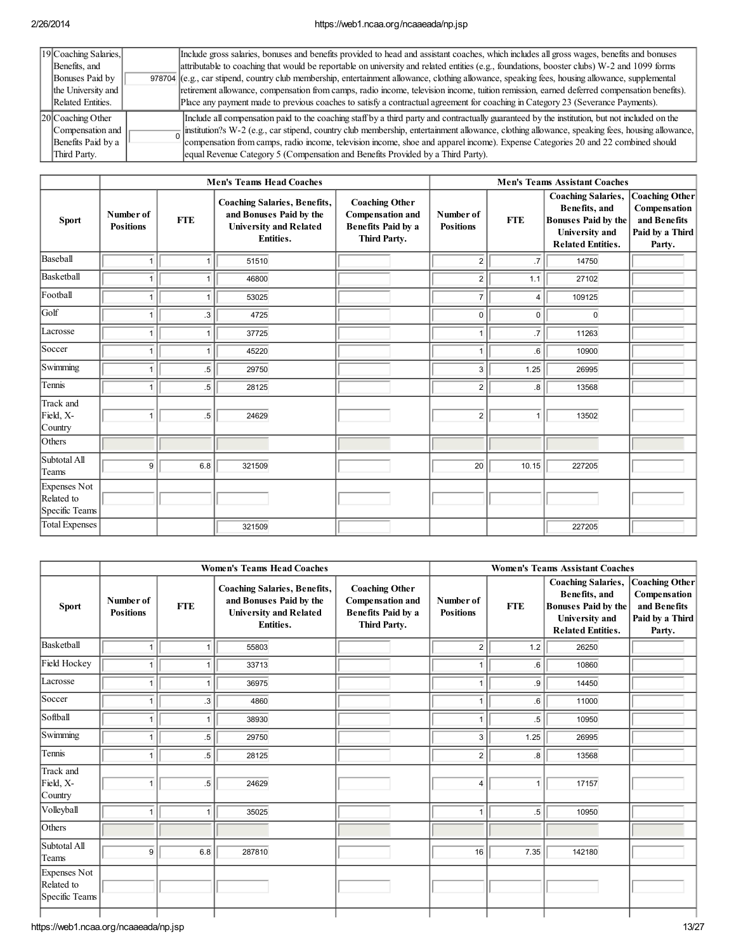| 19 Coaching Salaries, | Include gross salaries, bonuses and benefits provided to head and assistant coaches, which includes all gross wages, benefits and bonuses       |
|-----------------------|-------------------------------------------------------------------------------------------------------------------------------------------------|
| Benefits, and         | attributable to coaching that would be reportable on university and related entities (e.g., foundations, booster clubs) W-2 and 1099 forms      |
| Bonuses Paid by       | 978704 (e.g., car stipend, country club membership, entertainment allowance, clothing allowance, speaking fees, housing allowance, supplemental |
| the University and    | retirement allowance, compensation from camps, radio income, television income, tution remission, earned deferred compensation benefits).       |
| Related Entities.     | Place any payment made to previous coaches to satisfy a contractual agreement for coaching in Category 23 (Severance Payments).                 |
| $ 20 $ Coaching Other | Include all compensation paid to the coaching staff by a third party and contractually guaranteed by the institution, but not included on the   |
| Compensation and      | institution?s W-2 (e.g., car stipend, country club membership, entertainment allowance, clothing allowance, speaking fees, housing allowance,   |
| Benefits Paid by a    | compensation from camps, radio income, television income, shoe and apparel income). Expense Categories 20 and 22 combined should                |
| Third Party.          | lequal Revenue Category 5 (Compensation and Benefits Provided by a Third Party).                                                                |

|                                              | <b>Men's Teams Head Coaches</b> |            |                                                                                                                     | <b>Men's Teams Assistant Coaches</b>                                                   |                               |                 |                                                                                                                               |                                                                                    |
|----------------------------------------------|---------------------------------|------------|---------------------------------------------------------------------------------------------------------------------|----------------------------------------------------------------------------------------|-------------------------------|-----------------|-------------------------------------------------------------------------------------------------------------------------------|------------------------------------------------------------------------------------|
| <b>Sport</b>                                 | Number of<br><b>Positions</b>   | <b>FTE</b> | <b>Coaching Salaries, Benefits,</b><br>and Bonuses Paid by the<br><b>University and Related</b><br><b>Entities.</b> | <b>Coaching Other</b><br>Compensation and<br><b>Benefits Paid by a</b><br>Third Party. | Number of<br><b>Positions</b> | <b>FTE</b>      | <b>Coaching Salaries,</b><br>Benefits, and<br><b>Bonuses Paid by the</b><br><b>University</b> and<br><b>Related Entities.</b> | <b>Coaching Other</b><br>Compensation<br>and Benefits<br>Paid by a Third<br>Party. |
| Baseball                                     | 1                               | 1          | 51510                                                                                                               |                                                                                        | $\overline{c}$                | .7              | 14750                                                                                                                         |                                                                                    |
| Basketball                                   | 1                               |            | 46800                                                                                                               |                                                                                        | $\overline{2}$                | 1.1             | 27102                                                                                                                         |                                                                                    |
| Football                                     | 1                               | 1          | 53025                                                                                                               |                                                                                        | $\overline{7}$                | $\overline{4}$  | 109125                                                                                                                        |                                                                                    |
| Golf                                         | 1                               | $\cdot$ 3  | 4725                                                                                                                |                                                                                        | $\mathbf 0$                   | $\mathbf 0$     | $\Omega$                                                                                                                      |                                                                                    |
| Lacrosse                                     | 1                               | 1          | 37725                                                                                                               |                                                                                        | $\mathbf{1}$                  | $\overline{.7}$ | 11263                                                                                                                         |                                                                                    |
| Soccer                                       | 1                               | 1          | 45220                                                                                                               |                                                                                        | $\mathbf{1}$                  | .6              | 10900                                                                                                                         |                                                                                    |
| Swimming                                     | 1                               | $.5\,$     | 29750                                                                                                               |                                                                                        | $\overline{3}$                | 1.25            | 26995                                                                                                                         |                                                                                    |
| Tennis                                       | 1                               | $.5\,$     | 28125                                                                                                               |                                                                                        | $\overline{2}$                | .8              | 13568                                                                                                                         |                                                                                    |
| Track and<br>Field, X-<br>Country            | 1                               | $.5\,$     | 24629                                                                                                               |                                                                                        | $\sqrt{2}$                    | 1               | 13502                                                                                                                         |                                                                                    |
| Others                                       |                                 |            |                                                                                                                     |                                                                                        |                               |                 |                                                                                                                               |                                                                                    |
| Subtotal All<br>Teams                        | 9                               | 6.8        | 321509                                                                                                              |                                                                                        | 20                            | 10.15           | 227205                                                                                                                        |                                                                                    |
| Expenses Not<br>Related to<br>Specific Teams |                                 |            |                                                                                                                     |                                                                                        |                               |                 |                                                                                                                               |                                                                                    |
| Total Expenses                               |                                 |            | 321509                                                                                                              |                                                                                        |                               |                 | 227205                                                                                                                        |                                                                                    |

|                                              |                               |            | <b>Women's Teams Head Coaches</b>                                                                            | <b>Women's Teams Assistant Coaches</b>                                                 |                               |            |                                                                                                                        |                                                                                    |
|----------------------------------------------|-------------------------------|------------|--------------------------------------------------------------------------------------------------------------|----------------------------------------------------------------------------------------|-------------------------------|------------|------------------------------------------------------------------------------------------------------------------------|------------------------------------------------------------------------------------|
| <b>Sport</b>                                 | Number of<br><b>Positions</b> | <b>FTE</b> | <b>Coaching Salaries, Benefits,</b><br>and Bonuses Paid by the<br><b>University and Related</b><br>Entities. | <b>Coaching Other</b><br>Compensation and<br><b>Benefits Paid by a</b><br>Third Party. | Number of<br><b>Positions</b> | <b>FTE</b> | <b>Coaching Salaries,</b><br>Benefits, and<br><b>Bonuses Paid by the</b><br>University and<br><b>Related Entities.</b> | <b>Coaching Other</b><br>Compensation<br>and Benefits<br>Paid by a Third<br>Party. |
| Basketball                                   | 1                             |            | 55803                                                                                                        |                                                                                        | $\overline{c}$                | 1.2        | 26250                                                                                                                  |                                                                                    |
| Field Hockey                                 | 1                             |            | 33713                                                                                                        |                                                                                        | $\mathbf{1}$                  | .6         | 10860                                                                                                                  |                                                                                    |
| Lacrosse                                     | ٠                             |            | 36975                                                                                                        |                                                                                        | $\mathbf{1}$                  | .9         | 14450                                                                                                                  |                                                                                    |
| Soccer                                       | 1                             | $\cdot$    | 4860                                                                                                         |                                                                                        | $\mathbf{1}$                  | .6         | 11000                                                                                                                  |                                                                                    |
| Softball                                     | 1                             | 1          | 38930                                                                                                        |                                                                                        | $\mathbf{1}$                  | .5         | 10950                                                                                                                  |                                                                                    |
| Swimming                                     | 1                             | $.5\,$     | 29750                                                                                                        |                                                                                        | 3                             | 1.25       | 26995                                                                                                                  |                                                                                    |
| Tennis                                       | 1                             | $.5\,$     | 28125                                                                                                        |                                                                                        | $\overline{c}$                | 8.5        | 13568                                                                                                                  |                                                                                    |
| Track and<br>Field, X-<br>Country            | 1                             | .5         | 24629                                                                                                        |                                                                                        | $\overline{4}$                | 1          | 17157                                                                                                                  |                                                                                    |
| Volleyball                                   | 1                             | 1          | 35025                                                                                                        |                                                                                        | $\mathbf{1}$                  | $.5\,$     | 10950                                                                                                                  |                                                                                    |
| Others                                       |                               |            |                                                                                                              |                                                                                        |                               |            |                                                                                                                        |                                                                                    |
| Subtotal All<br>Teams                        | 9                             | 6.8        | 287810                                                                                                       |                                                                                        | 16                            | 7.35       | 142180                                                                                                                 |                                                                                    |
| Expenses Not<br>Related to<br>Specific Teams |                               |            |                                                                                                              |                                                                                        |                               |            |                                                                                                                        |                                                                                    |
|                                              |                               |            |                                                                                                              |                                                                                        |                               |            |                                                                                                                        |                                                                                    |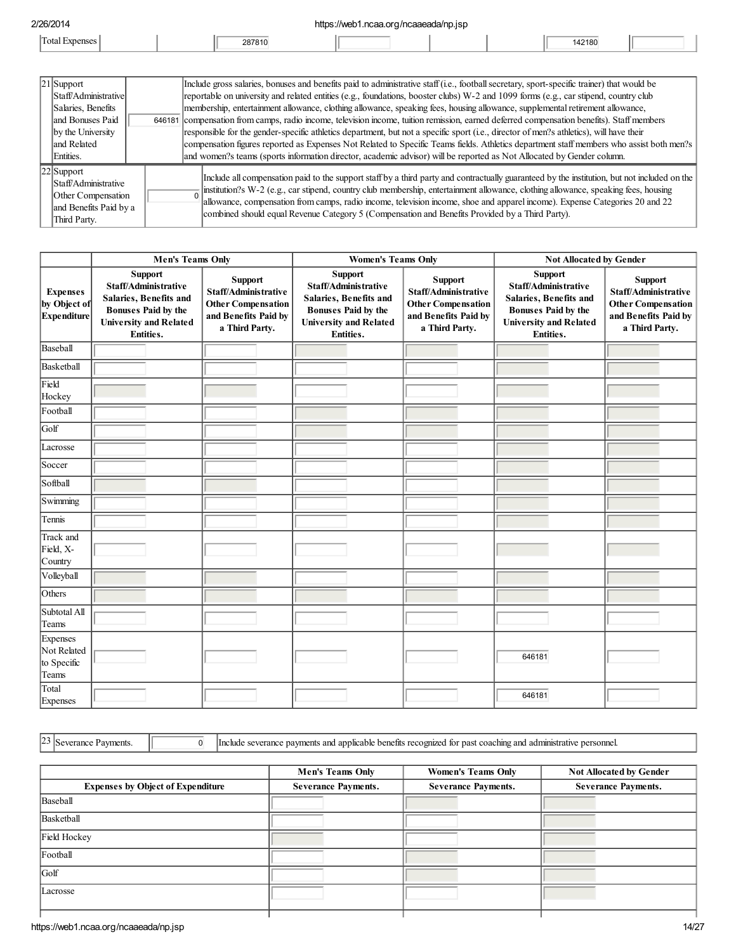| 2/26/2014 |        | httno<br>g/ncaaeada/np.jsp<br>$\sim$<br>$1$ harah |  |        |  |
|-----------|--------|---------------------------------------------------|--|--------|--|
|           | 287810 |                                                   |  | 142180 |  |

| $ 21 $ Support                                                                                         | Include gross salaries, bonuses and benefits paid to administrative staff (i.e., football secretary, sport-specific trainer) that would be                                                                                                                                                                                                                                                                                                                                        |  |  |  |
|--------------------------------------------------------------------------------------------------------|-----------------------------------------------------------------------------------------------------------------------------------------------------------------------------------------------------------------------------------------------------------------------------------------------------------------------------------------------------------------------------------------------------------------------------------------------------------------------------------|--|--|--|
| Staff/Administrativel                                                                                  | reportable on university and related entities (e.g., foundations, booster clubs) W-2 and 1099 forms (e.g., car stipend, country club                                                                                                                                                                                                                                                                                                                                              |  |  |  |
| Salaries, Benefits                                                                                     | membership, entertainment allowance, clothing allowance, speaking fees, housing allowance, supplemental retirement allowance,                                                                                                                                                                                                                                                                                                                                                     |  |  |  |
| land Bonuses Paid                                                                                      | 646181 compensation from camps, radio income, television income, tuition remission, earned deferred compensation benefits). Staff members                                                                                                                                                                                                                                                                                                                                         |  |  |  |
| by the University                                                                                      | responsible for the gender-specific athletics department, but not a specific sport (i.e., director of men?s athletics), will have their                                                                                                                                                                                                                                                                                                                                           |  |  |  |
| land Related                                                                                           | compensation figures reported as Expenses Not Related to Specific Teams fields. Athletics department staff members who assist both men?s                                                                                                                                                                                                                                                                                                                                          |  |  |  |
| Entities.                                                                                              | and women?s teams (sports information director, academic advisor) will be reported as Not Allocated by Gender column.                                                                                                                                                                                                                                                                                                                                                             |  |  |  |
| $ 22 $ Support<br>Staff/Administrative<br>Other Compensation<br>and Benefits Paid by a<br>Third Party. | Include all compensation paid to the support staff by a third party and contractually guaranteed by the institution, but not included on the<br>Institution?s W-2 (e.g., car stipend, country club membership, entertainment allowance, clothing allowance, speaking fees, housing allowance, compensation from camps, radio income, television income, shoe and apparel incom<br>combined should equal Revenue Category 5 (Compensation and Benefits Provided by a Third Party). |  |  |  |

|                                                        | <b>Men's Teams Only</b>                                                                                                                      |                                                                                                        | <b>Women's Teams Only</b>                                                                                                             |                                                                                                               | <b>Not Allocated by Gender</b>                                                                                                               |  |  |
|--------------------------------------------------------|----------------------------------------------------------------------------------------------------------------------------------------------|--------------------------------------------------------------------------------------------------------|---------------------------------------------------------------------------------------------------------------------------------------|---------------------------------------------------------------------------------------------------------------|----------------------------------------------------------------------------------------------------------------------------------------------|--|--|
| <b>Expenses</b><br>by Object of<br>Expenditure         | <b>Support</b><br>Staff/Administrative<br>Salaries, Benefits and<br><b>Bonuses Paid by the</b><br><b>University and Related</b><br>Entities. | Support<br>Staff/Administrative<br><b>Other Compensation</b><br>and Benefits Paid by<br>a Third Party. | Support<br>Staff/Administrative<br>Salaries, Benefits and<br><b>Bonuses Paid by the</b><br><b>University and Related</b><br>Entities. | <b>Support</b><br>Staff/Administrative<br><b>Other Compensation</b><br>and Benefits Paid by<br>a Third Party. | <b>Support</b><br>Staff/Administrative<br>Salaries, Benefits and<br><b>Bonuses Paid by the</b><br><b>University and Related</b><br>Entities. |  |  |
| Baseball                                               |                                                                                                                                              |                                                                                                        |                                                                                                                                       |                                                                                                               |                                                                                                                                              |  |  |
| Basketball                                             |                                                                                                                                              |                                                                                                        |                                                                                                                                       |                                                                                                               |                                                                                                                                              |  |  |
| Field<br>Hockey                                        |                                                                                                                                              |                                                                                                        |                                                                                                                                       |                                                                                                               |                                                                                                                                              |  |  |
| Football                                               |                                                                                                                                              |                                                                                                        |                                                                                                                                       |                                                                                                               |                                                                                                                                              |  |  |
| Golf                                                   |                                                                                                                                              |                                                                                                        |                                                                                                                                       |                                                                                                               |                                                                                                                                              |  |  |
| Lacrosse                                               |                                                                                                                                              |                                                                                                        |                                                                                                                                       |                                                                                                               |                                                                                                                                              |  |  |
| Soccer                                                 |                                                                                                                                              |                                                                                                        |                                                                                                                                       |                                                                                                               |                                                                                                                                              |  |  |
| Softball                                               |                                                                                                                                              |                                                                                                        |                                                                                                                                       |                                                                                                               |                                                                                                                                              |  |  |
| Swimming                                               |                                                                                                                                              |                                                                                                        |                                                                                                                                       |                                                                                                               |                                                                                                                                              |  |  |
| Tennis                                                 |                                                                                                                                              |                                                                                                        |                                                                                                                                       |                                                                                                               |                                                                                                                                              |  |  |
| Track and<br>Field, X-<br>Country                      |                                                                                                                                              |                                                                                                        |                                                                                                                                       |                                                                                                               |                                                                                                                                              |  |  |
| Volleyball                                             |                                                                                                                                              |                                                                                                        |                                                                                                                                       |                                                                                                               |                                                                                                                                              |  |  |
| Others                                                 |                                                                                                                                              |                                                                                                        |                                                                                                                                       |                                                                                                               |                                                                                                                                              |  |  |
| Subtotal All<br>Teams                                  |                                                                                                                                              |                                                                                                        |                                                                                                                                       |                                                                                                               |                                                                                                                                              |  |  |
| <b>Expenses</b><br>Not Related<br>to Specific<br>Teams |                                                                                                                                              |                                                                                                        |                                                                                                                                       |                                                                                                               | 646181                                                                                                                                       |  |  |
| Total<br>Expenses                                      |                                                                                                                                              |                                                                                                        |                                                                                                                                       |                                                                                                               | 646181                                                                                                                                       |  |  |

23 Severance Payments. <u>10 0</u> Include severance payments and applicable benefits recognized for past coaching and administrative personnel.

|                                          | <b>Men's Teams Only</b>    | <b>Women's Teams Only</b>  | <b>Not Allocated by Gender</b> |
|------------------------------------------|----------------------------|----------------------------|--------------------------------|
| <b>Expenses by Object of Expenditure</b> | <b>Severance Payments.</b> | <b>Severance Payments.</b> | <b>Severance Payments.</b>     |
| Baseball                                 |                            |                            |                                |
| Basketball                               |                            |                            |                                |
| Field Hockey                             |                            |                            |                                |
| Football                                 |                            |                            |                                |
| Golf                                     |                            |                            |                                |
| Lacrosse                                 |                            |                            |                                |
|                                          |                            |                            |                                |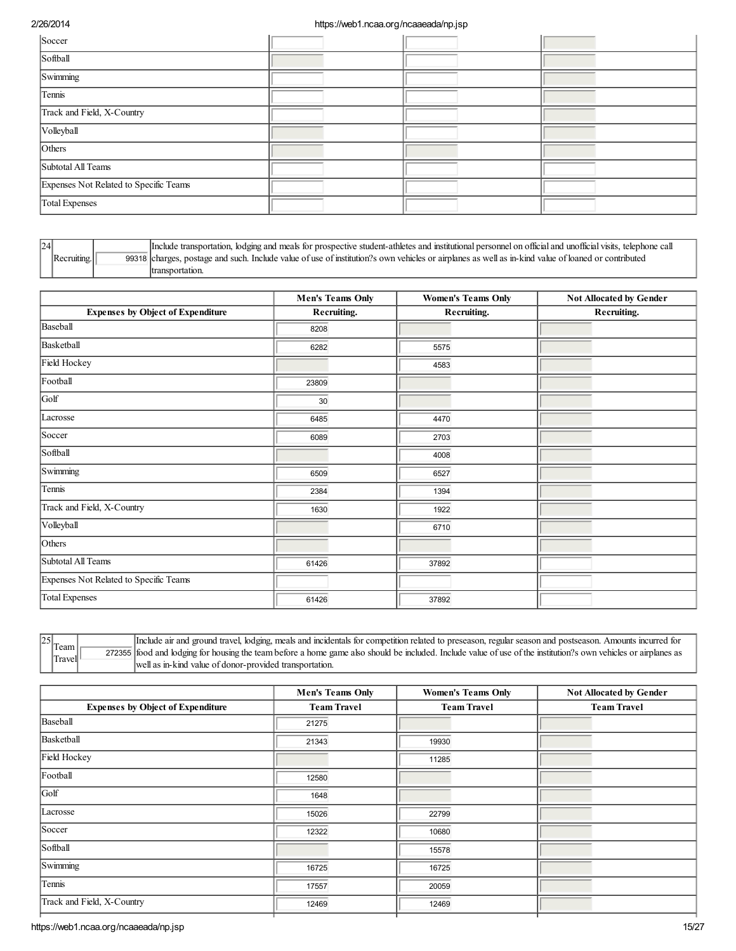| Soccer                                 |  |  |
|----------------------------------------|--|--|
| Softball                               |  |  |
| Swimming                               |  |  |
| Tennis                                 |  |  |
| Track and Field, X-Country             |  |  |
| Volleyball                             |  |  |
| Others                                 |  |  |
| Subtotal All Teams                     |  |  |
| Expenses Not Related to Specific Teams |  |  |
| Total Expenses                         |  |  |

| 24 |  | Include transportation, lodging and meals for prospective student-athletes and institutional personnel on official and unofficial visits, telephone call |
|----|--|----------------------------------------------------------------------------------------------------------------------------------------------------------|
|    |  | 99318 charges, postage and such. Include value of use of institution?s own vehicles or airplanes as well as in-kind value of loaned or contributed       |
|    |  |                                                                                                                                                          |

|                                          | <b>Men's Teams Only</b> | <b>Women's Teams Only</b> | <b>Not Allocated by Gender</b> |
|------------------------------------------|-------------------------|---------------------------|--------------------------------|
| <b>Expenses by Object of Expenditure</b> | Recruiting.             | Recruiting.               | Recruiting.                    |
| Baseball                                 | 8208                    |                           |                                |
| Basketball                               | 6282                    | 5575                      |                                |
| Field Hockey                             |                         | 4583                      |                                |
| Football                                 | 23809                   |                           |                                |
| Golf                                     | 30                      |                           |                                |
| Lacrosse                                 | 6485                    | 4470                      |                                |
| Soccer                                   | 6089                    | 2703                      |                                |
| Softball                                 |                         | 4008                      |                                |
| Swimming                                 | 6509                    | 6527                      |                                |
| Tennis                                   | 2384                    | 1394                      |                                |
| Track and Field, X-Country               | 1630                    | 1922                      |                                |
| Volleyball                               |                         | 6710                      |                                |
| Others                                   |                         |                           |                                |
| Subtotal All Teams                       | 61426                   | 37892                     |                                |
| Expenses Not Related to Specific Teams   |                         |                           |                                |
| <b>Total Expenses</b>                    | 61426                   | 37892                     |                                |

 $25$  Team Travel

272355 food and lodging for housing the team before a home game also should be included. Include value of use of the institution?s own vehicles or airplanes as Include air and ground travel, lodging, meals and incidentals for competition related to preseason, regular season and postseason. Amounts incurred for well as in-kind value of donor-provided transportation.

|                                          | <b>Men's Teams Only</b> | <b>Women's Teams Only</b> | <b>Not Allocated by Gender</b> |  |
|------------------------------------------|-------------------------|---------------------------|--------------------------------|--|
| <b>Expenses by Object of Expenditure</b> | <b>Team Travel</b>      | <b>Team Travel</b>        | <b>Team Travel</b>             |  |
| Baseball                                 | 21275                   |                           |                                |  |
| Basketball                               | 21343                   | 19930                     |                                |  |
| Field Hockey                             |                         | 11285                     |                                |  |
| Football                                 | 12580                   |                           |                                |  |
| Golf                                     | 1648                    |                           |                                |  |
| Lacrosse                                 | 15026                   | 22799                     |                                |  |
| Soccer                                   | 12322                   | 10680                     |                                |  |
| Softball                                 |                         | 15578                     |                                |  |
| Swimming                                 | 16725                   | 16725                     |                                |  |
| Tennis                                   | 17557                   | 20059                     |                                |  |
| Track and Field, X-Country               | 12469                   | 12469                     |                                |  |
|                                          |                         |                           |                                |  |

https://web1.ncaa.org/ncaaeada/np.jsp 15/27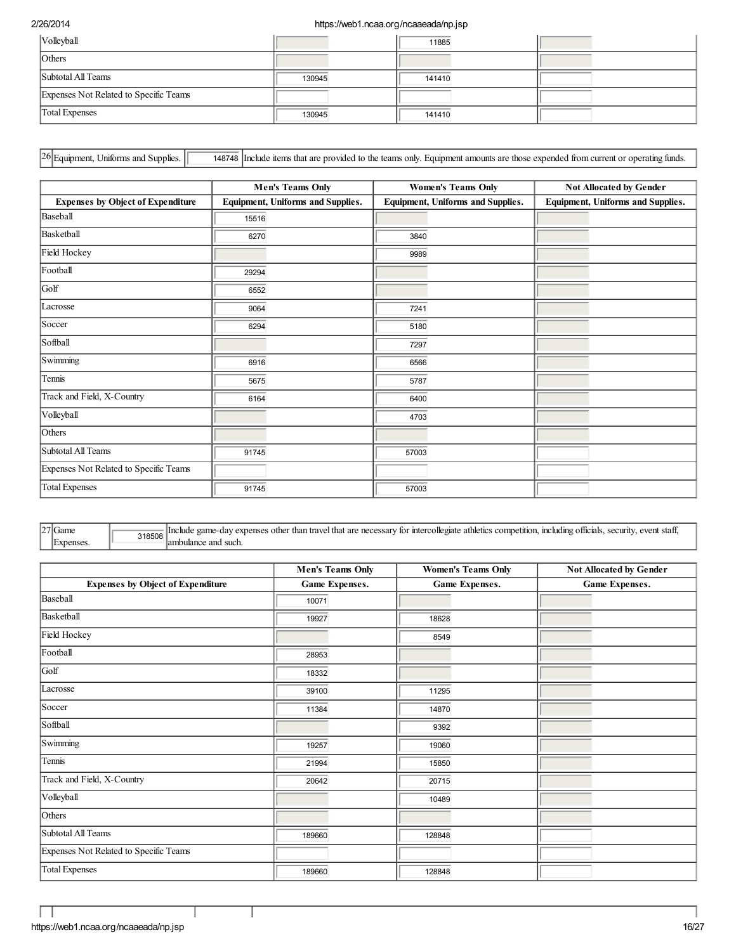| Volleyball                             |        | 11885  |  |
|----------------------------------------|--------|--------|--|
| Others                                 |        |        |  |
| Subtotal All Teams                     | 130945 | 141410 |  |
| Expenses Not Related to Specific Teams |        |        |  |
| <b>Total Expenses</b>                  | 130945 | 141410 |  |

26 Equipment, Uniforms and Supplies. **148748** Include items that are provided to the teams only. Equipment amounts are those expended from current or operating funds.

|                                          | <b>Men's Teams Only</b>           | <b>Women's Teams Only</b>         | <b>Not Allocated by Gender</b>    |
|------------------------------------------|-----------------------------------|-----------------------------------|-----------------------------------|
| <b>Expenses by Object of Expenditure</b> | Equipment, Uniforms and Supplies. | Equipment, Uniforms and Supplies. | Equipment, Uniforms and Supplies. |
| Baseball                                 | 15516                             |                                   |                                   |
| Basketball                               | 6270                              | 3840                              |                                   |
| Field Hockey                             |                                   | 9989                              |                                   |
| Football                                 | 29294                             |                                   |                                   |
| Golf                                     | 6552                              |                                   |                                   |
| Lacrosse                                 | 9064                              | 7241                              |                                   |
| Soccer                                   | 6294                              | 5180                              |                                   |
| Softball                                 |                                   | 7297                              |                                   |
| Swimming                                 | 6916                              | 6566                              |                                   |
| Tennis                                   | 5675                              | 5787                              |                                   |
| Track and Field, X-Country               | 6164                              | 6400                              |                                   |
| Volleyball                               |                                   | 4703                              |                                   |
| Others                                   |                                   |                                   |                                   |
| Subtotal All Teams                       | 91745                             | 57003                             |                                   |
| Expenses Not Related to Specific Teams   |                                   |                                   |                                   |
| <b>Total Expenses</b>                    | 91745                             | 57003                             |                                   |

 $27$ Game Expenses. 318508 Include game-day expenses other than travel that are necessary for intercollegiate athletics competition, including officials, security, event staff, ambulance and such.

|                                          | <b>Men's Teams Only</b> | <b>Women's Teams Only</b> | Not Allocated by Gender |
|------------------------------------------|-------------------------|---------------------------|-------------------------|
| <b>Expenses by Object of Expenditure</b> | <b>Game Expenses.</b>   | Game Expenses.            | Game Expenses.          |
| Baseball                                 | 10071                   |                           |                         |
| Basketball                               | 19927                   | 18628                     |                         |
| Field Hockey                             |                         | 8549                      |                         |
| Football                                 | 28953                   |                           |                         |
| Golf                                     | 18332                   |                           |                         |
| Lacrosse                                 | 39100                   | 11295                     |                         |
| Soccer                                   | 11384                   | 14870                     |                         |
| Softball                                 |                         | 9392                      |                         |
| Swimming                                 | 19257                   | 19060                     |                         |
| Tennis                                   | 21994                   | 15850                     |                         |
| Track and Field, X-Country               | 20642                   | 20715                     |                         |
| Volleyball                               |                         | 10489                     |                         |
| Others                                   |                         |                           |                         |
| Subtotal All Teams                       | 189660                  | 128848                    |                         |
| Expenses Not Related to Specific Teams   |                         |                           |                         |
| <b>Total Expenses</b>                    | 189660                  | 128848                    |                         |

T

Г J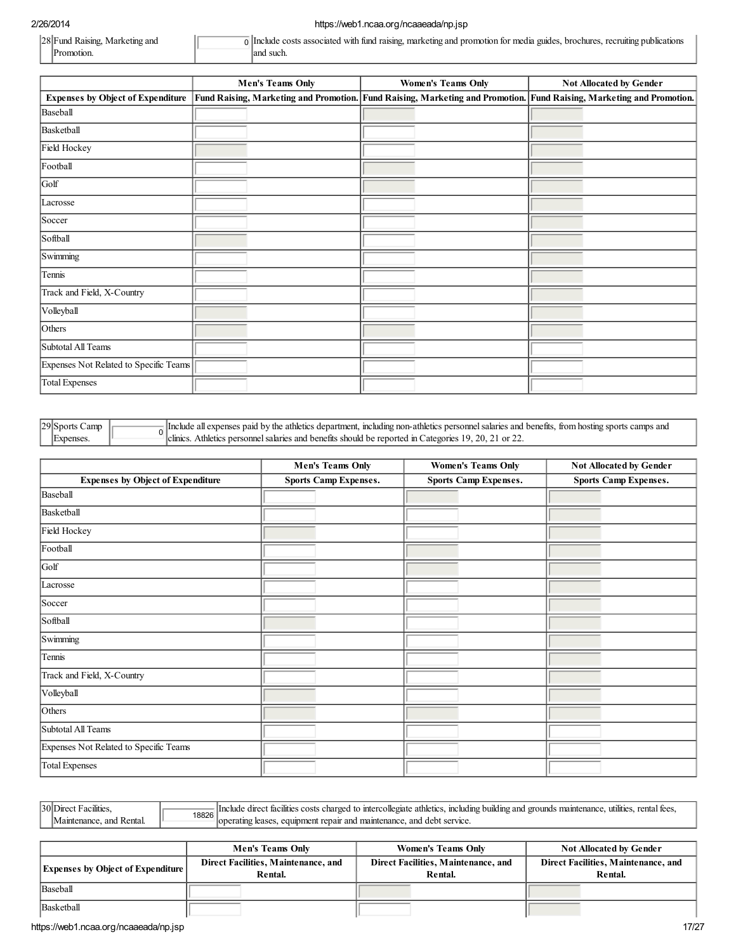| 28 Fund Raising<br>Marketing and | l with fund raising, marketing and<br>promotion<br><b>guides</b><br>recruitin.<br>notated.<br>. media<br>brochure:<br>$\sim$ $\sim$ $\sim$ |
|----------------------------------|--------------------------------------------------------------------------------------------------------------------------------------------|
| LIOT                             | such.<br>anc                                                                                                                               |

|                                          | <b>Men's Teams Only</b> | <b>Women's Teams Only</b>                                                                                            | <b>Not Allocated by Gender</b> |
|------------------------------------------|-------------------------|----------------------------------------------------------------------------------------------------------------------|--------------------------------|
| <b>Expenses by Object of Expenditure</b> |                         | Fund Raising, Marketing and Promotion. Fund Raising, Marketing and Promotion. Fund Raising, Marketing and Promotion. |                                |
| Baseball                                 |                         |                                                                                                                      |                                |
| Basketball                               |                         |                                                                                                                      |                                |
| Field Hockey                             |                         |                                                                                                                      |                                |
| Football                                 |                         |                                                                                                                      |                                |
| Golf                                     |                         |                                                                                                                      |                                |
| Lacrosse                                 |                         |                                                                                                                      |                                |
| Soccer                                   |                         |                                                                                                                      |                                |
| Softball                                 |                         |                                                                                                                      |                                |
| Swimming                                 |                         |                                                                                                                      |                                |
| Tennis                                   |                         |                                                                                                                      |                                |
| Track and Field, X-Country               |                         |                                                                                                                      |                                |
| Volleyball                               |                         |                                                                                                                      |                                |
| Others                                   |                         |                                                                                                                      |                                |
| Subtotal All Teams                       |                         |                                                                                                                      |                                |
| Expenses Not Related to Specific Teams   |                         |                                                                                                                      |                                |
| <b>Total Expenses</b>                    |                         |                                                                                                                      |                                |

| $ 29 $ Sports<br>Jamr | <b>linctude</b><br>t, including non-athletics personnel salaries and benefits, from hosting sports camps and<br>a all expenses paid by the athletics department. |
|-----------------------|------------------------------------------------------------------------------------------------------------------------------------------------------------------|
| Expenses              | Athletics personnel salaries and benefits should be reported in Categories 19.<br>20.<br>lelmies.                                                                |

|                                          | <b>Men's Teams Only</b>      | <b>Women's Teams Only</b>    | Not Allocated by Gender      |
|------------------------------------------|------------------------------|------------------------------|------------------------------|
| <b>Expenses by Object of Expenditure</b> | <b>Sports Camp Expenses.</b> | <b>Sports Camp Expenses.</b> | <b>Sports Camp Expenses.</b> |
| Baseball                                 |                              |                              |                              |
| Basketball                               |                              |                              |                              |
| Field Hockey                             |                              |                              |                              |
| Football                                 |                              |                              |                              |
| Golf                                     |                              |                              |                              |
| Lacrosse                                 |                              |                              |                              |
| Soccer                                   |                              |                              |                              |
| Softball                                 |                              |                              |                              |
| Swimming                                 |                              |                              |                              |
| Tennis                                   |                              |                              |                              |
| Track and Field, X-Country               |                              |                              |                              |
| Volleyball                               |                              |                              |                              |
| Others                                   |                              |                              |                              |
| Subtotal All Teams                       |                              |                              |                              |
| Expenses Not Related to Specific Teams   |                              |                              |                              |
| Total Expenses                           |                              |                              |                              |

| 30Direo | 18826 | . including building and grounds maintenance.<br>rental<br>t facilities costs charged to intercollegiate athletics.<br>Include direct<br>utilities. |
|---------|-------|-----------------------------------------------------------------------------------------------------------------------------------------------------|
| and     |       | t renair and maintenance, and debt service.<br>equipment<br>lease                                                                                   |

|                                          | <b>Men's Teams Only</b>                        | <b>Women's Teams Only</b>                      | <b>Not Allocated by Gender</b>                 |
|------------------------------------------|------------------------------------------------|------------------------------------------------|------------------------------------------------|
| <b>Expenses by Object of Expenditure</b> | Direct Facilities, Maintenance, and<br>Rental. | Direct Facilities, Maintenance, and<br>Rental. | Direct Facilities, Maintenance, and<br>Rental. |
| Baseball                                 |                                                |                                                |                                                |
| Basketball                               |                                                |                                                |                                                |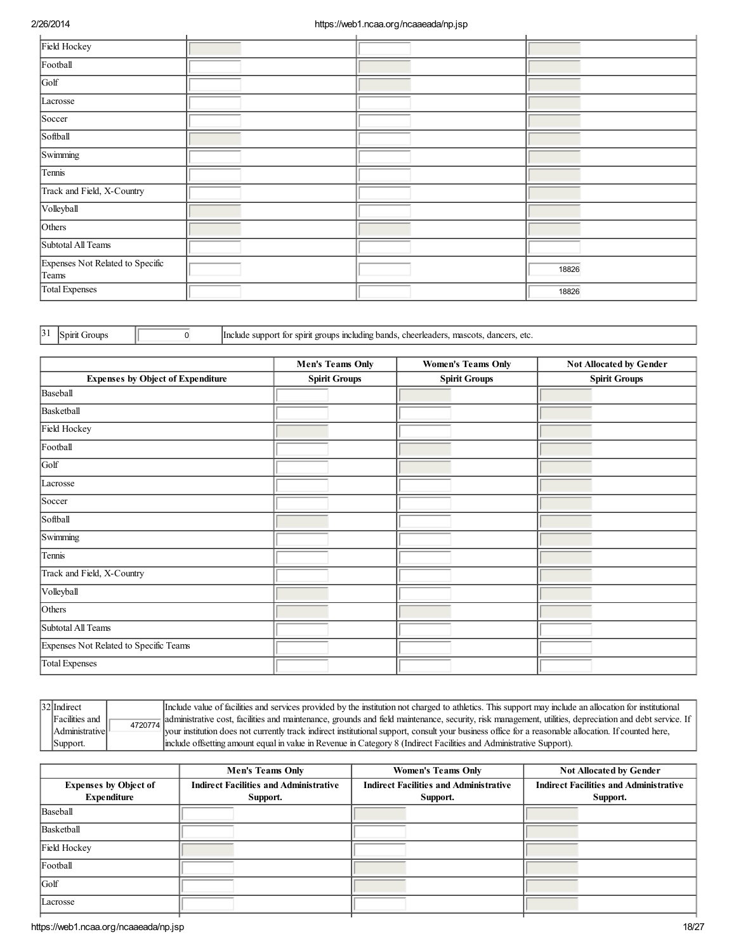| Field Hockey                              |  |       |
|-------------------------------------------|--|-------|
| Football                                  |  |       |
| Golf                                      |  |       |
| Lacrosse                                  |  |       |
| Soccer                                    |  |       |
| Softball                                  |  |       |
| Swimming                                  |  |       |
| Tennis                                    |  |       |
| Track and Field, X-Country                |  |       |
| Volleyball                                |  |       |
| Others                                    |  |       |
| Subtotal All Teams                        |  |       |
| Expenses Not Related to Specific<br>Teams |  | 18826 |
| Total Expenses                            |  | 18826 |

31 Spirit Groups **1 Include support for spirit groups including bands, cheerleaders, mascots, dancers, etc.** 

|                                          | <b>Men's Teams Only</b> | <b>Women's Teams Only</b> | Not Allocated by Gender |
|------------------------------------------|-------------------------|---------------------------|-------------------------|
| <b>Expenses by Object of Expenditure</b> | <b>Spirit Groups</b>    | <b>Spirit Groups</b>      | <b>Spirit Groups</b>    |
| Baseball                                 |                         |                           |                         |
| Basketball                               |                         |                           |                         |
| Field Hockey                             |                         |                           |                         |
| Football                                 |                         |                           |                         |
| Golf                                     |                         |                           |                         |
| Lacrosse                                 |                         |                           |                         |
| Soccer                                   |                         |                           |                         |
| Softball                                 |                         |                           |                         |
| Swimming                                 |                         |                           |                         |
| Tennis                                   |                         |                           |                         |
| Track and Field, X-Country               |                         |                           |                         |
| Volleyball                               |                         |                           |                         |
| Others                                   |                         |                           |                         |
| Subtotal All Teams                       |                         |                           |                         |
| Expenses Not Related to Specific Teams   |                         |                           |                         |
| <b>Total Expenses</b>                    |                         |                           |                         |

| 32 Indirect                    |         | Include value of facilities and services provided by the institution not charged to athletics. This support may include an allocation for institutional |
|--------------------------------|---------|---------------------------------------------------------------------------------------------------------------------------------------------------------|
| Facilities and                 | 4720774 | administrative cost, facilities and maintenance, grounds and field maintenance, security, risk management, utilities, depreciation and debt service. If |
| Administrative <sup>[1</sup> ] |         | your institution does not currently track indirect institutional support, consult your business office for a reasonable allocation. If counted here,    |
| Support.                       |         | include offsetting amount equal in value in Revenue in Category 8 (Indirect Facilities and Administrative Support).                                     |

|                                                    | <b>Men's Teams Only</b>                                   | <b>Women's Teams Only</b>                                 | <b>Not Allocated by Gender</b>                            |
|----------------------------------------------------|-----------------------------------------------------------|-----------------------------------------------------------|-----------------------------------------------------------|
| <b>Expenses by Object of</b><br><b>Expenditure</b> | <b>Indirect Facilities and Administrative</b><br>Support. | <b>Indirect Facilities and Administrative</b><br>Support. | <b>Indirect Facilities and Administrative</b><br>Support. |
| Baseball                                           |                                                           |                                                           |                                                           |
| Basketball                                         |                                                           |                                                           |                                                           |
| Field Hockey                                       |                                                           |                                                           |                                                           |
| Football                                           |                                                           |                                                           |                                                           |
| Golf                                               |                                                           |                                                           |                                                           |
| Lacrosse                                           |                                                           |                                                           |                                                           |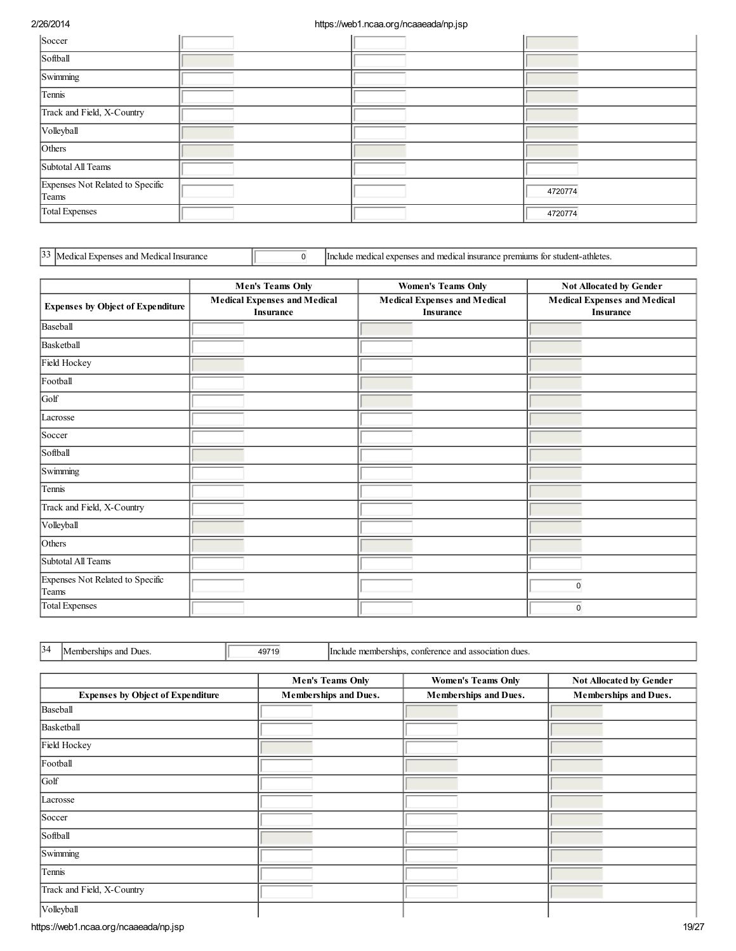| Soccer                                    |  |         |
|-------------------------------------------|--|---------|
| Softball                                  |  |         |
| Swimming                                  |  |         |
| Tennis                                    |  |         |
| Track and Field, X-Country                |  |         |
| Volleyball                                |  |         |
| Others                                    |  |         |
| Subtotal All Teams                        |  |         |
| Expenses Not Related to Specific<br>Teams |  | 4720774 |
| Total Expenses                            |  | 4720774 |

 $\overline{1}$  Include medical expenses and medical insurance premiums for student-athletes.

|                                           | <b>Men's Teams Only</b>                          | <b>Women's Teams Only</b>                               | Not Allocated by Gender                                 |
|-------------------------------------------|--------------------------------------------------|---------------------------------------------------------|---------------------------------------------------------|
| <b>Expenses by Object of Expenditure</b>  | <b>Medical Expenses and Medical</b><br>Insurance | <b>Medical Expenses and Medical</b><br><b>Insurance</b> | <b>Medical Expenses and Medical</b><br><b>Insurance</b> |
| Baseball                                  |                                                  |                                                         |                                                         |
| Basketball                                |                                                  |                                                         |                                                         |
| Field Hockey                              |                                                  |                                                         |                                                         |
| Football                                  |                                                  |                                                         |                                                         |
| Golf                                      |                                                  |                                                         |                                                         |
| Lacrosse                                  |                                                  |                                                         |                                                         |
| Soccer                                    |                                                  |                                                         |                                                         |
| Softball                                  |                                                  |                                                         |                                                         |
| Swimming                                  |                                                  |                                                         |                                                         |
| Tennis                                    |                                                  |                                                         |                                                         |
| Track and Field, X-Country                |                                                  |                                                         |                                                         |
| Volleyball                                |                                                  |                                                         |                                                         |
| Others                                    |                                                  |                                                         |                                                         |
| Subtotal All Teams                        |                                                  |                                                         |                                                         |
| Expenses Not Related to Specific<br>Teams |                                                  |                                                         | $\pmb{0}$                                               |
| <b>Total Expenses</b>                     |                                                  |                                                         | $\mathbf 0$                                             |

34 Memberships and Dues. 19719 Include memberships, conference and association dues.

|                                          | <b>Men's Teams Only</b> | <b>Women's Teams Only</b> | Not Allocated by Gender |
|------------------------------------------|-------------------------|---------------------------|-------------------------|
| <b>Expenses by Object of Expenditure</b> | Memberships and Dues.   | Memberships and Dues.     | Memberships and Dues.   |
| Baseball                                 |                         |                           |                         |
| Basketball                               |                         |                           |                         |
| Field Hockey                             |                         |                           |                         |
| Football                                 |                         |                           |                         |
| Golf                                     |                         |                           |                         |
| Lacrosse                                 |                         |                           |                         |
| Soccer                                   |                         |                           |                         |
| Softball                                 |                         |                           |                         |
| Swimming                                 |                         |                           |                         |
| Tennis                                   |                         |                           |                         |
| Track and Field, X-Country               |                         |                           |                         |
| Volleyball                               |                         |                           |                         |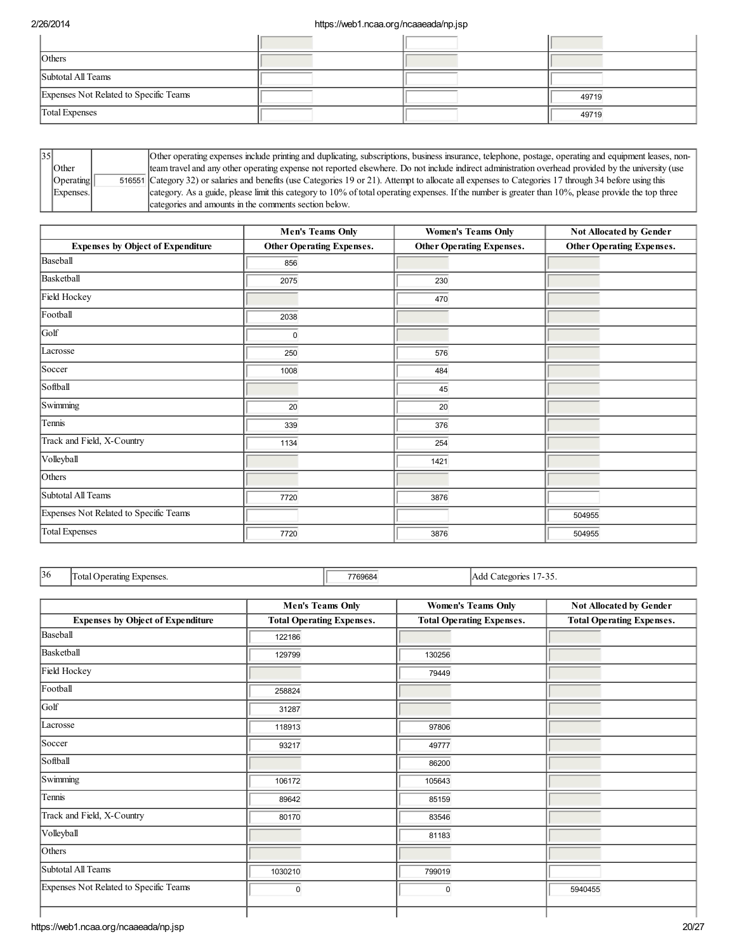| Others                                 |  |       |
|----------------------------------------|--|-------|
| Subtotal All Teams                     |  |       |
| Expenses Not Related to Specific Teams |  | 49719 |
| <b>Total Expenses</b>                  |  | 49719 |

| $\vert 35 \vert$ |           | Other operating expenses include printing and duplicating, subscriptions, business insurance, telephone, postage, operating and equipment leases, non- |
|------------------|-----------|--------------------------------------------------------------------------------------------------------------------------------------------------------|
|                  | Other     | team travel and any other operating expense not reported elsewhere. Do not include indirect administration overhead provided by the university (use    |
|                  | Operating | 516551 Category 32) or salaries and benefits (use Categories 19 or 21). Attempt to allocate all expenses to Categories 17 through 34 before using this |
|                  | Expenses. | category. As a guide, please limit this category to 10% of total operating expenses. If the number is greater than 10%, please provide the top three   |
|                  |           | categories and amounts in the comments section below.                                                                                                  |

|                                          | <b>Men's Teams Only</b>          | <b>Women's Teams Only</b> | Not Allocated by Gender          |
|------------------------------------------|----------------------------------|---------------------------|----------------------------------|
| <b>Expenses by Object of Expenditure</b> | <b>Other Operating Expenses.</b> | Other Operating Expenses. | <b>Other Operating Expenses.</b> |
| Baseball                                 | 856                              |                           |                                  |
| Basketball                               | 2075                             | 230                       |                                  |
| Field Hockey                             |                                  | 470                       |                                  |
| Football                                 | 2038                             |                           |                                  |
| Golf                                     | $\Omega$                         |                           |                                  |
| Lacrosse                                 | 250                              | 576                       |                                  |
| Soccer                                   | 1008                             | 484                       |                                  |
| Softball                                 |                                  | 45                        |                                  |
| Swimming                                 | 20                               | 20                        |                                  |
| Tennis                                   | 339                              | 376                       |                                  |
| Track and Field, X-Country               | 1134                             | 254                       |                                  |
| Volleyball                               |                                  | 1421                      |                                  |
| Others                                   |                                  |                           |                                  |
| Subtotal All Teams                       | 7720                             | 3876                      |                                  |
| Expenses Not Related to Specific Teams   |                                  |                           | 504955                           |
| <b>Total Expenses</b>                    | 7720                             | 3876                      | 504955                           |

Total Operating Expenses. The Total Operating Expenses.

|                                          | <b>Men's Teams Only</b>          | <b>Women's Teams Only</b>        | Not Allocated by Gender          |
|------------------------------------------|----------------------------------|----------------------------------|----------------------------------|
| <b>Expenses by Object of Expenditure</b> | <b>Total Operating Expenses.</b> | <b>Total Operating Expenses.</b> | <b>Total Operating Expenses.</b> |
| Baseball                                 | 122186                           |                                  |                                  |
| Basketball                               | 129799                           | 130256                           |                                  |
| Field Hockey                             |                                  | 79449                            |                                  |
| Football                                 | 258824                           |                                  |                                  |
| Golf                                     | 31287                            |                                  |                                  |
| Lacrosse                                 | 118913                           | 97806                            |                                  |
| Soccer                                   | 93217                            | 49777                            |                                  |
| Softball                                 |                                  | 86200                            |                                  |
| Swimming                                 | 106172                           | 105643                           |                                  |
| Tennis                                   | 89642                            | 85159                            |                                  |
| Track and Field, X-Country               | 80170                            | 83546                            |                                  |
| Volleyball                               |                                  | 81183                            |                                  |
| Others                                   |                                  |                                  |                                  |
| Subtotal All Teams                       | 1030210                          | 799019                           |                                  |
| Expenses Not Related to Specific Teams   | 0                                | $\mathbf 0$                      | 5940455                          |
|                                          |                                  |                                  |                                  |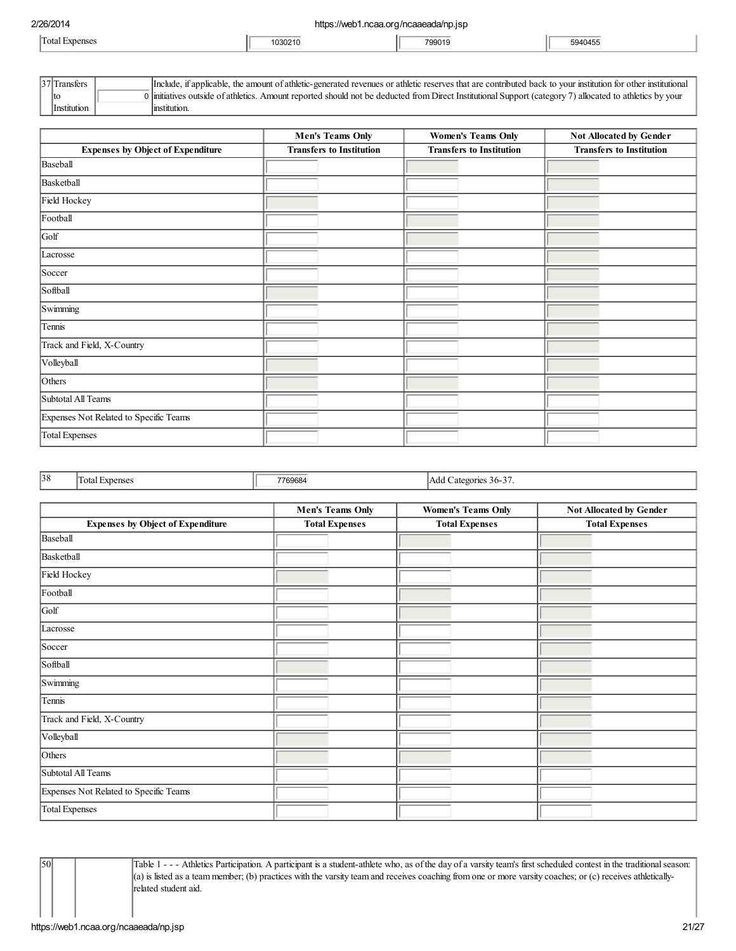| 2/26/2014 | https://web1.ncaa.org/ncaaeada/np.jsp |  |
|-----------|---------------------------------------|--|
|           |                                       |  |

| Total<br>*xnenses | 103021 <sup>2</sup> | 700010    | 1.000000<br>14 h F     |
|-------------------|---------------------|-----------|------------------------|
|                   | . <b>.</b> .        | ອອບເ<br>. | 594<br>¬◡<br>-- .- .-- |

|                    | t applicable, the amount of athletic-generated revenues or athletic reserves that are contributed back to your institution for other institutional<br>Ilnclude.                            |
|--------------------|--------------------------------------------------------------------------------------------------------------------------------------------------------------------------------------------|
| Ito                | . Amount reported should not be deducted from Direct Institutional Support (category $\tau$<br>7) allocated to athletics by your<br>ves outside of athletics. .<br>$^{\prime}$ limitatives |
| <i>Institution</i> | Imstitution                                                                                                                                                                                |

|                                          | <b>Men's Teams Only</b>         | <b>Women's Teams Only</b>       | Not Allocated by Gender         |
|------------------------------------------|---------------------------------|---------------------------------|---------------------------------|
| <b>Expenses by Object of Expenditure</b> | <b>Transfers to Institution</b> | <b>Transfers to Institution</b> | <b>Transfers to Institution</b> |
| Baseball                                 |                                 |                                 |                                 |
| Basketball                               |                                 |                                 |                                 |
| Field Hockey                             |                                 |                                 |                                 |
| Football                                 |                                 |                                 |                                 |
| Golf                                     |                                 |                                 |                                 |
| Lacrosse                                 |                                 |                                 |                                 |
| Soccer                                   |                                 |                                 |                                 |
| Softball                                 |                                 |                                 |                                 |
| Swimming                                 |                                 |                                 |                                 |
| Tennis                                   |                                 |                                 |                                 |
| Track and Field, X-Country               |                                 |                                 |                                 |
| Volleyball                               |                                 |                                 |                                 |
| Others                                   |                                 |                                 |                                 |
| Subtotal All Teams                       |                                 |                                 |                                 |
| Expenses Not Related to Specific Teams   |                                 |                                 |                                 |
| <b>Total Expenses</b>                    |                                 |                                 |                                 |

| 38 | Total<br>xnense | nco.<br>n.<br>$\cdot$ | $\overline{\phantom{a}}$<br>Categories 36-<br>Ađ<br>┘<br>. |
|----|-----------------|-----------------------|------------------------------------------------------------|
|----|-----------------|-----------------------|------------------------------------------------------------|

|                                          | <b>Men's Teams Only</b> | <b>Women's Teams Only</b> | Not Allocated by Gender |
|------------------------------------------|-------------------------|---------------------------|-------------------------|
| <b>Expenses by Object of Expenditure</b> | <b>Total Expenses</b>   | <b>Total Expenses</b>     | <b>Total Expenses</b>   |
| Baseball                                 |                         |                           |                         |
| Basketball                               |                         |                           |                         |
| Field Hockey                             |                         |                           |                         |
| Football                                 |                         |                           |                         |
| Golf                                     |                         |                           |                         |
| Lacrosse                                 |                         |                           |                         |
| Soccer                                   |                         |                           |                         |
| Softball                                 |                         |                           |                         |
| Swimming                                 |                         |                           |                         |
| Tennis                                   |                         |                           |                         |
| Track and Field, X-Country               |                         |                           |                         |
| Volleyball                               |                         |                           |                         |
| Others                                   |                         |                           |                         |
| Subtotal All Teams                       |                         |                           |                         |
| Expenses Not Related to Specific Teams   |                         |                           |                         |
| Total Expenses                           |                         |                           |                         |

50 Table 1 - - - Athletics Participation. A participant is a student-athlete who, as of the day of a varsity team's first scheduled contest in the traditionalseason: (a) is listed as a team member; (b) practices with the varsity team and receives coaching from one or more varsity coaches; or (c) receives athleticallyrelated student aid.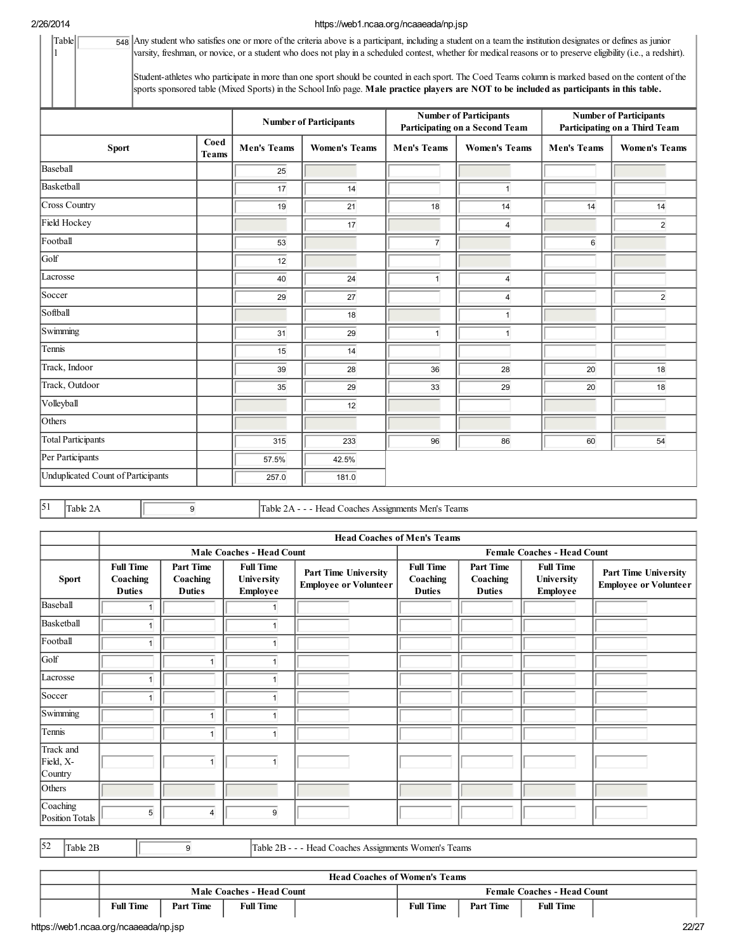Table 1

# 2/26/2014 https://web1.ncaa.org/ncaaeada/np.jsp  $\overline{548}$  Any student who satisfies one or more of the criteria above is a participant, including a student on a team the institution designates or defines as junior

varsity, freshman, or novice, or a student who does not play in a scheduled contest, whether for medicalreasons or to preserve eligibility (i.e., a redshirt).

|                                    |                               | Student-athletes who participate in more than one sport should be counted in each sport. The Coed Teams column is marked based on the content of the<br>sports sponsored table (Mixed Sports) in the School Info page. Male practice players are NOT to be included as participants in this table. |                                            |       |                                                                 |                         |                                                                |                |  |  |  |
|------------------------------------|-------------------------------|----------------------------------------------------------------------------------------------------------------------------------------------------------------------------------------------------------------------------------------------------------------------------------------------------|--------------------------------------------|-------|-----------------------------------------------------------------|-------------------------|----------------------------------------------------------------|----------------|--|--|--|
|                                    | <b>Number of Participants</b> |                                                                                                                                                                                                                                                                                                    |                                            |       | <b>Number of Participants</b><br>Participating on a Second Team |                         | <b>Number of Participants</b><br>Participating on a Third Team |                |  |  |  |
|                                    | Coed<br>Sport<br><b>Teams</b> |                                                                                                                                                                                                                                                                                                    | <b>Men's Teams</b><br><b>Women's Teams</b> |       | <b>Men's Teams</b><br><b>Women's Teams</b>                      |                         | <b>Men's Teams</b><br><b>Women's Teams</b>                     |                |  |  |  |
| Baseball                           |                               |                                                                                                                                                                                                                                                                                                    | 25                                         |       |                                                                 |                         |                                                                |                |  |  |  |
| Basketball                         |                               |                                                                                                                                                                                                                                                                                                    | 17                                         | 14    |                                                                 | $\mathbf{1}$            |                                                                |                |  |  |  |
| Cross Country                      |                               |                                                                                                                                                                                                                                                                                                    | 19                                         | 21    | 18                                                              | 14                      | 14                                                             | 14             |  |  |  |
| Field Hockey                       |                               |                                                                                                                                                                                                                                                                                                    |                                            | 17    |                                                                 | $\overline{4}$          |                                                                | $\overline{c}$ |  |  |  |
| Football                           |                               |                                                                                                                                                                                                                                                                                                    | 53                                         |       | $\overline{7}$                                                  |                         | 6                                                              |                |  |  |  |
| Golf                               |                               |                                                                                                                                                                                                                                                                                                    | 12                                         |       |                                                                 |                         |                                                                |                |  |  |  |
| Lacrosse                           |                               |                                                                                                                                                                                                                                                                                                    | 40                                         | 24    | $\mathbf{1}$                                                    | $\overline{\mathbf{4}}$ |                                                                |                |  |  |  |
| Soccer                             |                               |                                                                                                                                                                                                                                                                                                    | 29                                         | 27    |                                                                 | 4                       |                                                                | $\overline{2}$ |  |  |  |
| Softball                           |                               |                                                                                                                                                                                                                                                                                                    |                                            | 18    |                                                                 | $\mathbf{1}$            |                                                                |                |  |  |  |
| Swimming                           |                               |                                                                                                                                                                                                                                                                                                    | 31                                         | 29    | $\mathbf{1}$                                                    | $\overline{1}$          |                                                                |                |  |  |  |
| Tennis                             |                               |                                                                                                                                                                                                                                                                                                    | 15                                         | 14    |                                                                 |                         |                                                                |                |  |  |  |
| Track, Indoor                      |                               |                                                                                                                                                                                                                                                                                                    | 39                                         | 28    | 36                                                              | 28                      | 20                                                             | 18             |  |  |  |
| Track, Outdoor                     |                               |                                                                                                                                                                                                                                                                                                    | 35                                         | 29    | 33                                                              | 29                      | 20                                                             | 18             |  |  |  |
| Volleyball                         |                               |                                                                                                                                                                                                                                                                                                    |                                            | 12    |                                                                 |                         |                                                                |                |  |  |  |
| Others                             |                               |                                                                                                                                                                                                                                                                                                    |                                            |       |                                                                 |                         |                                                                |                |  |  |  |
| <b>Total Participants</b>          |                               |                                                                                                                                                                                                                                                                                                    | 315                                        | 233   | 96                                                              | 86                      | 60                                                             | 54             |  |  |  |
| Per Participants                   |                               |                                                                                                                                                                                                                                                                                                    | 57.5%                                      | 42.5% |                                                                 |                         |                                                                |                |  |  |  |
| Unduplicated Count of Participants |                               |                                                                                                                                                                                                                                                                                                    | 257.0                                      | 181.0 |                                                                 |                         |                                                                |                |  |  |  |

51 Table 2A 9 Table 2A - - - Head Coaches Assignments Men's Teams

|                                   |                                                                                                                                                     |                         |                                                             |                                               | <b>Head Coaches of Men's Teams</b>            |                                            |                                                      |  |
|-----------------------------------|-----------------------------------------------------------------------------------------------------------------------------------------------------|-------------------------|-------------------------------------------------------------|-----------------------------------------------|-----------------------------------------------|--------------------------------------------|------------------------------------------------------|--|
|                                   |                                                                                                                                                     |                         | <b>Male Coaches - Head Count</b>                            |                                               | <b>Female Coaches - Head Count</b>            |                                            |                                                      |  |
| <b>Sport</b>                      | <b>Full Time</b><br><b>Part Time</b><br><b>Full Time</b><br>University<br>Coaching<br>Coaching<br><b>Duties</b><br><b>Duties</b><br><b>Employee</b> |                         | <b>Part Time University</b><br><b>Employee or Volunteer</b> | <b>Full Time</b><br>Coaching<br><b>Duties</b> | <b>Part Time</b><br>Coaching<br><b>Duties</b> | <b>Full Time</b><br>University<br>Employee | Part Time University<br><b>Employee or Volunteer</b> |  |
| Baseball                          | 1                                                                                                                                                   |                         |                                                             |                                               |                                               |                                            |                                                      |  |
| Basketball                        | 1                                                                                                                                                   |                         |                                                             |                                               |                                               |                                            |                                                      |  |
| Football                          | 1                                                                                                                                                   |                         |                                                             |                                               |                                               |                                            |                                                      |  |
| Golf                              |                                                                                                                                                     | $\overline{ }$          |                                                             |                                               |                                               |                                            |                                                      |  |
| Lacrosse                          | 1                                                                                                                                                   |                         |                                                             |                                               |                                               |                                            |                                                      |  |
| Soccer                            | 1                                                                                                                                                   |                         |                                                             |                                               |                                               |                                            |                                                      |  |
| Swimming                          |                                                                                                                                                     | $\overline{\mathbf{1}}$ |                                                             |                                               |                                               |                                            |                                                      |  |
| Tennis                            |                                                                                                                                                     |                         |                                                             |                                               |                                               |                                            |                                                      |  |
| Track and<br>Field, X-<br>Country |                                                                                                                                                     | $\overline{1}$          | $\mathbf{1}$                                                |                                               |                                               |                                            |                                                      |  |
| Others                            |                                                                                                                                                     |                         |                                                             |                                               |                                               |                                            |                                                      |  |
| Coaching<br>Position Totals       | 5                                                                                                                                                   | 4                       | 9                                                           |                                               |                                               |                                            |                                                      |  |

 $\begin{array}{|c|c|c|c|c|}\n 52 & \text{Table 2B} & \text{Table 2B -- Head Coaches Assigments Women's Team}\n \end{array}$ 

|                                                |                  | <b>Head Coaches of Women's Teams</b> |                           |  |                                    |                  |                  |  |  |  |  |
|------------------------------------------------|------------------|--------------------------------------|---------------------------|--|------------------------------------|------------------|------------------|--|--|--|--|
|                                                |                  |                                      | Male Coaches - Head Count |  | <b>Female Coaches - Head Count</b> |                  |                  |  |  |  |  |
|                                                | <b>Full Time</b> | <b>Part Time</b>                     | <b>Full Time</b>          |  | <b>Full Time</b>                   | <b>Part Time</b> | <b>Full Time</b> |  |  |  |  |
| 22/27<br>https://web1.ncaa.org/ncaaeada/np.jsp |                  |                                      |                           |  |                                    |                  |                  |  |  |  |  |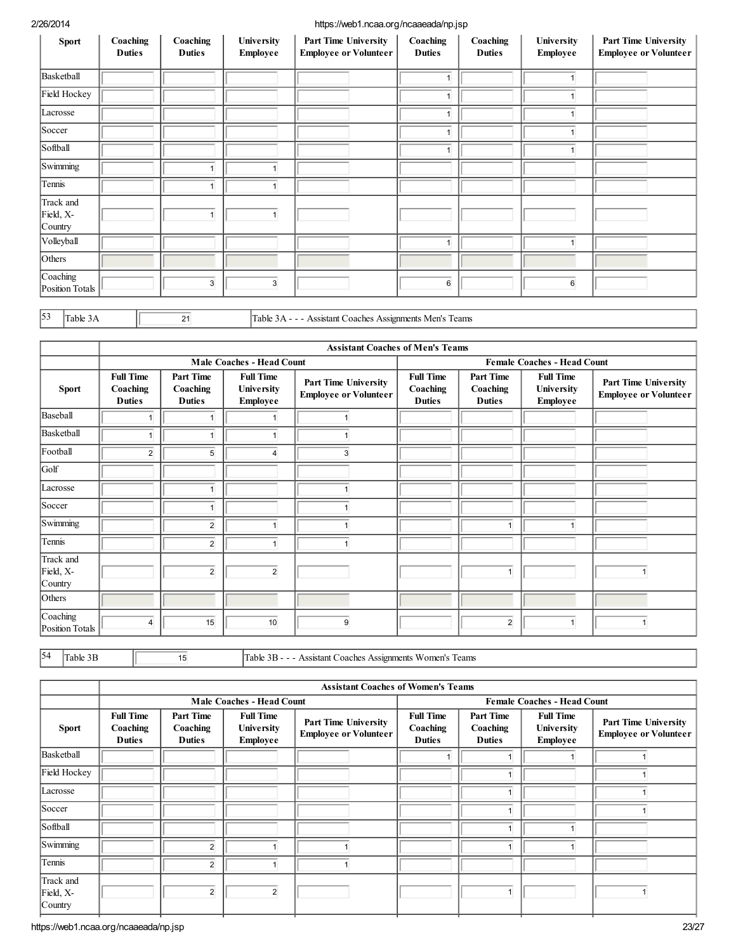| <b>Sport</b>                      | Coaching<br><b>Duties</b> | Coaching<br><b>Duties</b> | University<br><b>Employee</b> | <b>Part Time University</b><br><b>Employee or Volunteer</b> | Coaching<br><b>Duties</b> | Coaching<br><b>Duties</b> | University<br><b>Employee</b> | <b>Part Time University</b><br><b>Employee or Volunteer</b> |
|-----------------------------------|---------------------------|---------------------------|-------------------------------|-------------------------------------------------------------|---------------------------|---------------------------|-------------------------------|-------------------------------------------------------------|
| Basketball                        |                           |                           |                               |                                                             | $\overline{\mathbf{1}}$   |                           |                               |                                                             |
| Field Hockey                      |                           |                           |                               |                                                             | $\overline{1}$            |                           |                               |                                                             |
| Lacrosse                          |                           |                           |                               |                                                             |                           |                           |                               |                                                             |
| Soccer                            |                           |                           |                               |                                                             | $\overline{\mathbf{1}}$   |                           |                               |                                                             |
| Softball                          |                           |                           |                               |                                                             |                           |                           |                               |                                                             |
| Swimming                          |                           |                           |                               |                                                             |                           |                           |                               |                                                             |
| Tennis                            |                           |                           |                               |                                                             |                           |                           |                               |                                                             |
| Track and<br>Field, X-<br>Country |                           | f                         |                               |                                                             |                           |                           |                               |                                                             |
| Volleyball                        |                           |                           |                               |                                                             |                           |                           |                               |                                                             |
| Others                            |                           |                           |                               |                                                             |                           |                           |                               |                                                             |
| Coaching<br>Position Totals       |                           | 3                         | 3                             |                                                             | 6                         |                           | 6                             |                                                             |

 $\begin{array}{|l|c|c|c|}\n\hline\n\end{array}$  Table 3A - - - Assistant Coaches Assignments Men's Teams

|                                   |                                               |                                               |                                                          |                                                             | <b>Assistant Coaches of Men's Teams</b>       |                                               |                                            |                                                      |
|-----------------------------------|-----------------------------------------------|-----------------------------------------------|----------------------------------------------------------|-------------------------------------------------------------|-----------------------------------------------|-----------------------------------------------|--------------------------------------------|------------------------------------------------------|
|                                   |                                               |                                               | <b>Male Coaches - Head Count</b>                         |                                                             | <b>Female Coaches - Head Count</b>            |                                               |                                            |                                                      |
| <b>Sport</b>                      | <b>Full Time</b><br>Coaching<br><b>Duties</b> | <b>Part Time</b><br>Coaching<br><b>Duties</b> | <b>Full Time</b><br><b>University</b><br><b>Employee</b> | <b>Part Time University</b><br><b>Employee or Volunteer</b> | <b>Full Time</b><br>Coaching<br><b>Duties</b> | <b>Part Time</b><br>Coaching<br><b>Duties</b> | <b>Full Time</b><br>University<br>Employee | Part Time University<br><b>Employee or Volunteer</b> |
| Baseball                          |                                               |                                               |                                                          |                                                             |                                               |                                               |                                            |                                                      |
| Basketball                        |                                               |                                               |                                                          |                                                             |                                               |                                               |                                            |                                                      |
| Football                          | $\overline{2}$                                | 5                                             | 4                                                        | 3                                                           |                                               |                                               |                                            |                                                      |
| Golf                              |                                               |                                               |                                                          |                                                             |                                               |                                               |                                            |                                                      |
| Lacrosse                          |                                               |                                               |                                                          |                                                             |                                               |                                               |                                            |                                                      |
| Soccer                            |                                               |                                               |                                                          |                                                             |                                               |                                               |                                            |                                                      |
| Swimming                          |                                               | $\overline{2}$                                |                                                          |                                                             |                                               | 1                                             |                                            |                                                      |
| Tennis                            |                                               | $\overline{2}$                                | 4                                                        |                                                             |                                               |                                               |                                            |                                                      |
| Track and<br>Field, X-<br>Country |                                               | $\overline{2}$                                | $\overline{2}$                                           |                                                             |                                               | $\mathbf{1}$                                  |                                            |                                                      |
| Others                            |                                               |                                               |                                                          |                                                             |                                               |                                               |                                            |                                                      |
| Coaching<br>Position Totals       | $\overline{4}$                                | 15                                            | 10                                                       | 9                                                           |                                               | $\overline{2}$                                | $\mathbf{1}$                               |                                                      |

 $\begin{array}{|l|l|}\n 54 & \text{Table 3B} \\
\hline\n 15 & \text{Table 3B} - - \text{Assistant Coaches Assigments Women's Team}\n \end{array}$ 

|                                   |                                               |                                               |                                                                                                           |  | <b>Assistant Coaches of Women's Teams</b>     |                                               |                                                          |                                                      |  |
|-----------------------------------|-----------------------------------------------|-----------------------------------------------|-----------------------------------------------------------------------------------------------------------|--|-----------------------------------------------|-----------------------------------------------|----------------------------------------------------------|------------------------------------------------------|--|
|                                   |                                               |                                               | <b>Male Coaches - Head Count</b>                                                                          |  |                                               | <b>Female Coaches - Head Count</b>            |                                                          |                                                      |  |
| <b>Sport</b>                      | <b>Full Time</b><br>Coaching<br><b>Duties</b> | <b>Part Time</b><br>Coaching<br><b>Duties</b> | <b>Full Time</b><br>Part Time University<br><b>University</b><br><b>Employee or Volunteer</b><br>Employee |  | <b>Full Time</b><br>Coaching<br><b>Duties</b> | <b>Part Time</b><br>Coaching<br><b>Duties</b> | <b>Full Time</b><br><b>University</b><br><b>Employee</b> | Part Time University<br><b>Employee or Volunteer</b> |  |
| Basketball                        |                                               |                                               |                                                                                                           |  |                                               |                                               |                                                          |                                                      |  |
| Field Hockey                      |                                               |                                               |                                                                                                           |  |                                               |                                               |                                                          |                                                      |  |
| Lacrosse                          |                                               |                                               |                                                                                                           |  |                                               |                                               |                                                          |                                                      |  |
| Soccer                            |                                               |                                               |                                                                                                           |  |                                               |                                               |                                                          |                                                      |  |
| Softball                          |                                               |                                               |                                                                                                           |  |                                               |                                               |                                                          |                                                      |  |
| Swimming                          |                                               | 2                                             |                                                                                                           |  |                                               |                                               |                                                          |                                                      |  |
| Tennis                            |                                               | $\overline{2}$                                |                                                                                                           |  |                                               |                                               |                                                          |                                                      |  |
| Track and<br>Field, X-<br>Country |                                               | $\overline{2}$                                | $\overline{c}$                                                                                            |  |                                               | $\overline{\mathbf{1}}$                       |                                                          |                                                      |  |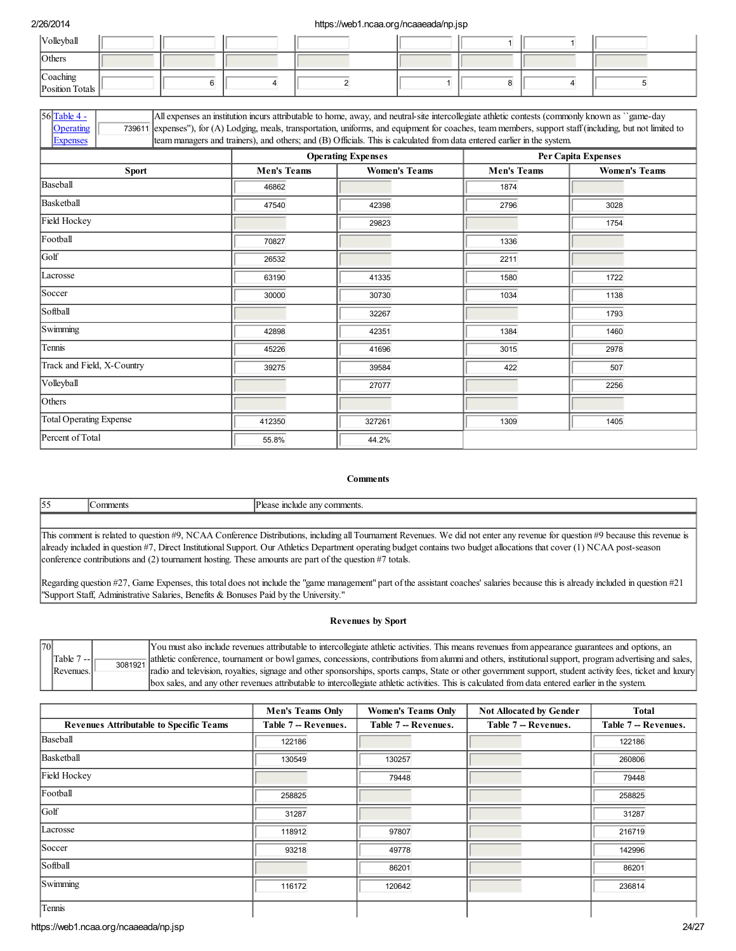| Volleyball                  |  |  |  |  |
|-----------------------------|--|--|--|--|
| Others                      |  |  |  |  |
| Coaching<br>Position Totals |  |  |  |  |

|                 |                                                                                                                                                  |                                                                                                                                                            | <b>Operating Expenses</b> |  | Per Capita Expenses |  |  |  |
|-----------------|--------------------------------------------------------------------------------------------------------------------------------------------------|------------------------------------------------------------------------------------------------------------------------------------------------------------|---------------------------|--|---------------------|--|--|--|
| <b>Expenses</b> |                                                                                                                                                  | team managers and trainers), and others; and (B) Officials. This is calculated from data entered earlier in the system.                                    |                           |  |                     |  |  |  |
| Operating       |                                                                                                                                                  | 739611 expenses"), for (A) Lodging, meals, transportation, uniforms, and equipment for coaches, team members, support staff (including, but not limited to |                           |  |                     |  |  |  |
| 56 Table 4 -    | All expenses an institution incurs attributable to home, away, and neutral-site intercollegiate athletic contests (commonly known as "game-day") |                                                                                                                                                            |                           |  |                     |  |  |  |

|                                |                    | <b>Operating Expenses</b> |                    | Per Capita Expenses  |
|--------------------------------|--------------------|---------------------------|--------------------|----------------------|
| <b>Sport</b>                   | <b>Men's Teams</b> | <b>Women's Teams</b>      | <b>Men's Teams</b> | <b>Women's Teams</b> |
| Baseball                       | 46862              |                           | 1874               |                      |
| Basketball                     | 47540              | 42398                     | 2796               | 3028                 |
| Field Hockey                   |                    | 29823                     |                    | 1754                 |
| Football                       | 70827              |                           | 1336               |                      |
| Golf                           | 26532              |                           | 2211               |                      |
| Lacrosse                       | 63190              | 41335                     | 1580               | 1722                 |
| Soccer                         | 30000              | 30730                     | 1034               | 1138                 |
| Softball                       |                    | 32267                     |                    | 1793                 |
| Swimming                       | 42898              | 42351                     | 1384               | 1460                 |
| Tennis                         | 45226              | 41696                     | 3015               | 2978                 |
| Track and Field, X-Country     | 39275              | 39584                     | 422                | 507                  |
| Volleyball                     |                    | 27077                     |                    | 2256                 |
| Others                         |                    |                           |                    |                      |
| <b>Total Operating Expense</b> | 412350             | 327261                    | 1309               | 1405                 |
| Percent of Total               | 55.8%              | 44.2%                     |                    |                      |

### **Comments**

| 155 | omments | Please include any comments.                                                                                                                                                   |
|-----|---------|--------------------------------------------------------------------------------------------------------------------------------------------------------------------------------|
|     |         |                                                                                                                                                                                |
|     |         | This comment is related to question #9, NCAA Conference Distributions, including all Tournament Revenues. We did not enter any revenue for question #9 because this revenue is |

already included in question #7, Direct Institutional Support. Our Athletics Department operating budget contains two budget allocations that cover (1) NCAA post-season conference contributions and (2) tournament hosting. These amounts are part of the question #7 totals.

Regarding question #27, Game Expenses, this total does not include the "game management" part of the assistant coaches' salaries because this is already included in question #21 "Support Staff, Administrative Salaries, Benefits & Bonuses Paid by the University."

## Revenues by Sport

| 70 |                       |         | You must also include revenues attributable to intercollegiate athletic activities. This means revenues from appearance guarantees and options, an         |
|----|-----------------------|---------|------------------------------------------------------------------------------------------------------------------------------------------------------------|
|    | Table 7<br>. <i>.</i> | 3081921 | alathletic conference, tournament or bowl games, concessions, contributions from alumni and others, institutional support, program advertising and sales,  |
|    | Revenues.             |         | radio and television, royalties, signage and other sponsorships, sports camps, State or other government support, student activity fees, ticket and luxury |
|    |                       |         | box sales, and any other revenues attributable to intercollegiate athletic activities. This is calculated from data entered earlier in the system.         |

|                                                | <b>Men's Teams Only</b> | <b>Women's Teams Only</b> | <b>Not Allocated by Gender</b> | <b>Total</b>         |
|------------------------------------------------|-------------------------|---------------------------|--------------------------------|----------------------|
| <b>Revenues Attributable to Specific Teams</b> | Table 7 -- Revenues.    | Table 7 - Revenues.       | Table 7 - Revenues.            | Table 7 -- Revenues. |
| Baseball                                       | 122186                  |                           |                                | 122186               |
| Basketball                                     | 130549                  | 130257                    |                                | 260806               |
| Field Hockey                                   |                         | 79448                     |                                | 79448                |
| Football                                       | 258825                  |                           |                                | 258825               |
| Golf                                           | 31287                   |                           |                                | 31287                |
| Lacrosse                                       | 118912                  | 97807                     |                                | 216719               |
| Soccer                                         | 93218                   | 49778                     |                                | 142996               |
| Softball                                       |                         | 86201                     |                                | 86201                |
| Swimming                                       | 116172                  | 120642                    |                                | 236814               |
| Tennis                                         |                         |                           |                                |                      |

https://web1.ncaa.org/ncaaeada/np.jsp 24/27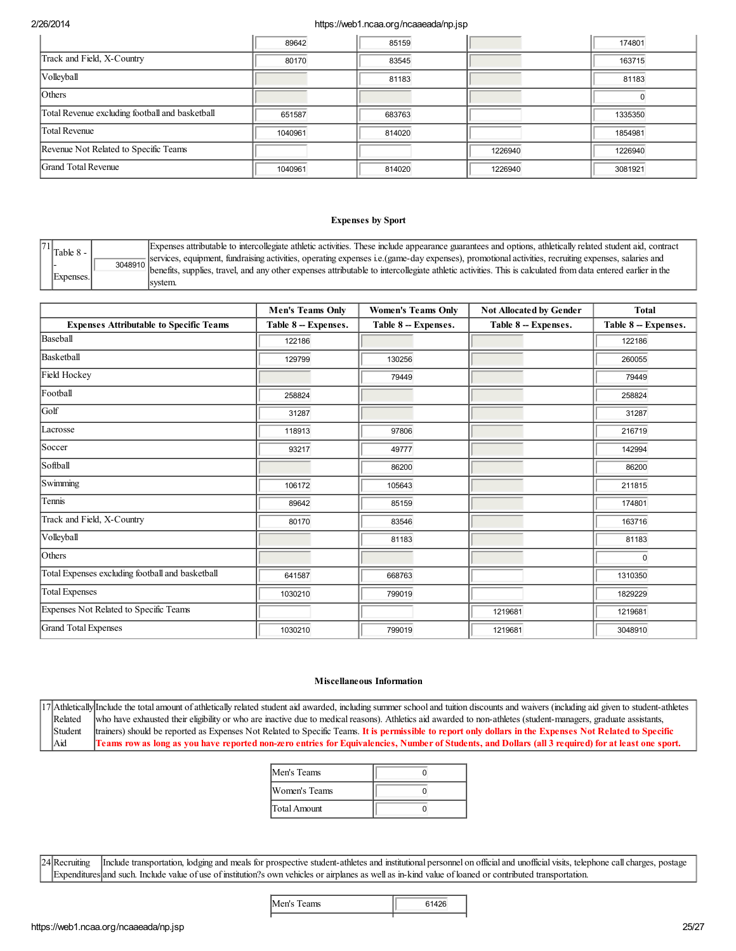|                                                 | 89642   | 85159  |         | 174801  |
|-------------------------------------------------|---------|--------|---------|---------|
| Track and Field, X-Country                      | 80170   | 83545  |         | 163715  |
| Volleyball                                      |         | 81183  |         | 81183   |
| Others                                          |         |        |         |         |
| Total Revenue excluding football and basketball | 651587  | 683763 |         | 1335350 |
| <b>Total Revenue</b>                            | 1040961 | 814020 |         | 1854981 |
| Revenue Not Related to Specific Teams           |         |        | 1226940 | 1226940 |
| Grand Total Revenue                             | 1040961 | 814020 | 1226940 | 3081921 |

## Expenses by Sport

| 71 |  | $\int$ Table 8 - | Expenses attributable to intercollegiate athletic activities. These include appearance guarantees and options, athletically related student aid, contract        |
|----|--|------------------|------------------------------------------------------------------------------------------------------------------------------------------------------------------|
|    |  |                  | $\frac{1}{2}$ services, equipment, fundraising activities, operating expenses i.e.(game-day expenses), promotional activities, recruiting expenses, salaries and |
|    |  | Expenses.        | benefits, supplies, travel, and any other expenses attributable to intercollegiate athletic activities. This is calculated from data entered earlier in the      |
|    |  |                  | svstem.                                                                                                                                                          |

|                                                  | <b>Men's Teams Only</b> | <b>Women's Teams Only</b> | <b>Not Allocated by Gender</b> | <b>Total</b>        |
|--------------------------------------------------|-------------------------|---------------------------|--------------------------------|---------------------|
| <b>Expenses Attributable to Specific Teams</b>   | Table 8 - Expenses.     | Table 8 - Expenses.       | Table 8 - Expenses.            | Table 8 - Expenses. |
| Baseball                                         | 122186                  |                           |                                | 122186              |
| Basketball                                       | 129799                  | 130256                    |                                | 260055              |
| Field Hockey                                     |                         | 79449                     |                                | 79449               |
| Football                                         | 258824                  |                           |                                | 258824              |
| Golf                                             | 31287                   |                           |                                | 31287               |
| Lacrosse                                         | 118913                  | 97806                     |                                | 216719              |
| Soccer                                           | 93217                   | 49777                     |                                | 142994              |
| Softball                                         |                         | 86200                     |                                | 86200               |
| Swimming                                         | 106172                  | 105643                    |                                | 211815              |
| Tennis                                           | 89642                   | 85159                     |                                | 174801              |
| Track and Field, X-Country                       | 80170                   | 83546                     |                                | 163716              |
| Volleyball                                       |                         | 81183                     |                                | 81183               |
| Others                                           |                         |                           |                                | $\Omega$            |
| Total Expenses excluding football and basketball | 641587                  | 668763                    |                                | 1310350             |
| <b>Total Expenses</b>                            | 1030210                 | 799019                    |                                | 1829229             |
| Expenses Not Related to Specific Teams           |                         |                           | 1219681                        | 1219681             |
| Grand Total Expenses                             | 1030210                 | 799019                    | 1219681                        | 3048910             |

### Miscellaneous Information

17 Athletically Include the total amount of athletically related student aid awarded, including summer school and tuition discounts and waivers (including aid given to student-athletes Related Student Aid who have exhausted their eligibility or who are inactive due to medical reasons). Athletics aid awarded to non-athletes (student-managers, graduate assistants, trainers) should be reported as Expenses Not Related to Specific Teams. It is permissible to report only dollars in the Expenses Not Related to Specific Teams row as long as you have reported non-zero entries for Equivalencies, Number of Students, and Dollars (all 3 required) for at least one sport.

| Men's Teams   |  |
|---------------|--|
| Women's Teams |  |
| Total Amount  |  |

24 Recruiting Expenditures and such. Include value of use of institution?s own vehicles or airplanes as well as in-kind value of loaned or contributed transportation. Include transportation, lodging and meals for prospective student-athletes and institutional personnel on official and unofficial visits, telephone call charges, postage

| I<br>Men's Teams |  |
|------------------|--|
|------------------|--|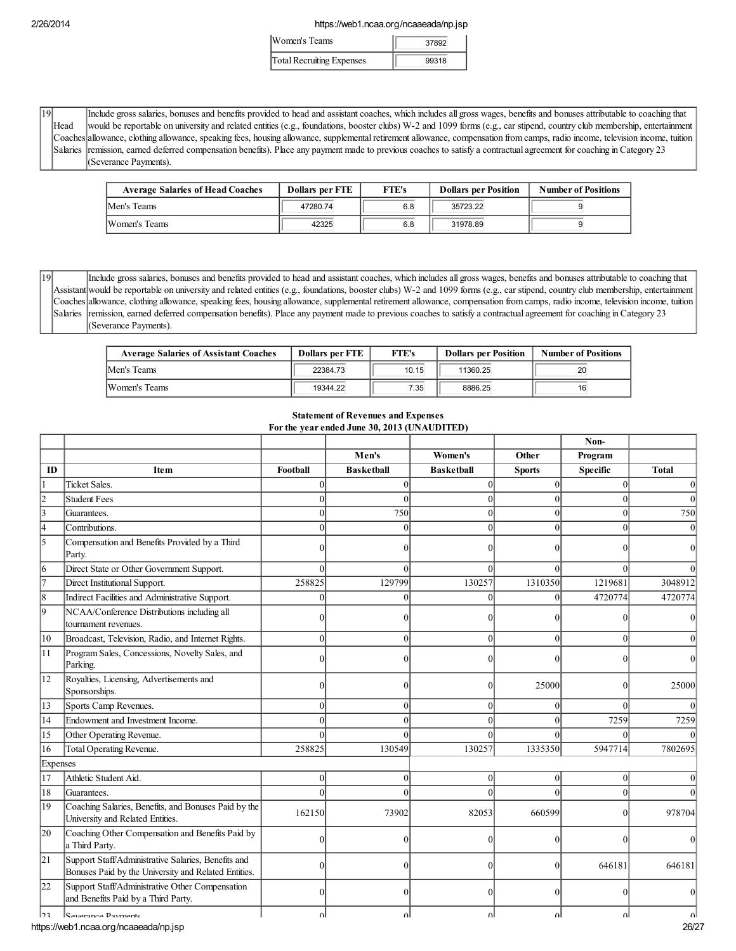| Women's Teams             | 37892 |  |
|---------------------------|-------|--|
| Total Recruiting Expenses | 99318 |  |

| 19I |      | Include gross salaries, bonuses and benefits provided to head and assistant coaches, which includes all gross wages, benefits and bonuses attributable to coaching that       |
|-----|------|-------------------------------------------------------------------------------------------------------------------------------------------------------------------------------|
|     | Head | would be reportable on university and related entities (e.g., foundations, booster clubs) W-2 and 1099 forms (e.g., car stipend, country club membership, entertainment       |
|     |      | Coaches allowance, clothing allowance, speaking fees, housing allowance, supplemental retirement allowance, compensation from camps, radio income, television income, tuttion |
|     |      | Salaries remission, earned deferred compensation benefits). Place any payment made to previous coaches to satisfy a contractual agreement for coaching in Category 23         |
|     |      | (Severance Payments).                                                                                                                                                         |

| <b>Average Salaries of Head Coaches</b> | <b>Dollars per FTE</b> | <b>FTE's</b> | <b>Dollars per Position</b> | <b>Number of Positions</b> |
|-----------------------------------------|------------------------|--------------|-----------------------------|----------------------------|
| Men's Teams                             | 47280.74               | 6.8          | 35723.22                    |                            |
| Women's Teams                           | 42325                  | 6.8          | 31978.89                    |                            |

19 Assistant would be reportable on university and related entities (e.g., foundations, booster clubs) W-2 and 1099 forms (e.g., car stipend, country club membership, entertainment Coaches allowance, clothing allowance, speaking fees, housing allowance, supplemental retirement allowance, compensation from camps, radio income, television income, tuition Salaries remission, earned deferred compensation benefits). Place any payment made to previous coaches to satisfy a contractual agreement for coaching in Category 23 Include gross salaries, bonuses and benefits provided to head and assistant coaches, which includes all gross wages, benefits and bonuses attributable to coaching that (Severance Payments).

| <b>Average Salaries of Assistant Coaches</b> | <b>Dollars per FTE</b> | <b>FTE's</b> | <b>Dollars per Position</b> | <b>Number of Positions</b> |
|----------------------------------------------|------------------------|--------------|-----------------------------|----------------------------|
| Men's Teams                                  | 22384.73               | 10.15        | 11360.25                    | 20                         |
| Women's Teams                                | 19344.22               | 7.35         | 8886.25                     | 16                         |

# Statement of Revenues and Expenses

For the year ended June 30, 2013 (UNAUDITED)

|                         |                                                                                                             |          |                   |                   |               | Non-            |              |
|-------------------------|-------------------------------------------------------------------------------------------------------------|----------|-------------------|-------------------|---------------|-----------------|--------------|
|                         |                                                                                                             |          | Men's             | Women's           | Other         | Program         |              |
| ID                      | <b>Item</b>                                                                                                 | Football | <b>Basketball</b> | <b>Basketball</b> | <b>Sports</b> | <b>Specific</b> | <b>Total</b> |
| 1                       | <b>Ticket Sales.</b>                                                                                        |          | 0                 |                   | $\sqrt{ }$    | $\Omega$        |              |
| $\vert$ 2               | Student Fees                                                                                                | $\Omega$ | Ô                 | 0                 | $\Omega$      | $\Omega$        |              |
| $\overline{3}$          | Guarantees.                                                                                                 | $\Omega$ | 750               | $\Omega$          | $\theta$      | $\Omega$        | 750          |
| $\overline{4}$          | Contributions.                                                                                              |          | 0                 |                   |               | $\Omega$        |              |
| 5                       | Compensation and Benefits Provided by a Third<br>Party.                                                     |          |                   |                   |               |                 |              |
| $\overline{6}$          | Direct State or Other Government Support.                                                                   | $\Omega$ | $\Omega$          |                   | $\Omega$      | $\Omega$        |              |
| $\overline{7}$          | Direct Institutional Support.                                                                               | 258825   | 129799            | 130257            | 1310350       | 1219681         | 3048912      |
| $\overline{\mathbf{8}}$ | Indirect Facilities and Administrative Support.                                                             | $\Omega$ | Ô                 | $\Omega$          | $\Omega$      | 4720774         | 4720774      |
| 9                       | NCAA/Conference Distributions including all<br>tournament revenues.                                         |          |                   |                   |               |                 |              |
| 10                      | Broadcast, Television, Radio, and Internet Rights.                                                          | $\Omega$ |                   |                   | ſ             | $\Omega$        |              |
| 11                      | Program Sales, Concessions, Novelty Sales, and<br>Parking.                                                  |          |                   |                   |               |                 |              |
| $ 12\rangle$            | Royalties, Licensing, Advertisements and<br>Sponsorships.                                                   |          |                   | 0                 | 25000         | $\Omega$        | 25000        |
| 13                      | Sports Camp Revenues.                                                                                       | $\Omega$ | 0                 | 0                 | $\Omega$      | $\Omega$        |              |
| 14                      | Endowment and Investment Income.                                                                            |          |                   |                   | $\sqrt{ }$    | 7259            | 7259         |
| 15                      | Other Operating Revenue.                                                                                    | $\Omega$ | 0                 | $\Omega$          | $\sqrt{ }$    |                 |              |
| 16                      | Total Operating Revenue.                                                                                    | 258825   | 130549            | 130257            | 1335350       | 5947714         | 7802695      |
| Expenses                |                                                                                                             |          |                   |                   |               |                 |              |
| 17                      | Athletic Student Aid.                                                                                       | $\Omega$ | 0                 |                   | $\Omega$      | $\Omega$        |              |
| 18                      | Guarantees.                                                                                                 |          | ∩                 |                   | $\sqrt{ }$    | $\Omega$        |              |
| 19                      | Coaching Salaries, Benefits, and Bonuses Paid by the<br>University and Related Entities.                    | 162150   | 73902             | 82053             | 660599        | $\Omega$        | 978704       |
| 20                      | Coaching Other Compensation and Benefits Paid by<br>a Third Party.                                          | Ω        |                   |                   |               |                 |              |
| $\vert$ 21              | Support Staff/Administrative Salaries, Benefits and<br>Bonuses Paid by the University and Related Entities. | ∩        |                   | ∩                 | ſ             | 646181          | 646181       |
| $\overline{22}$         | Support Staff/Administrative Other Compensation<br>and Benefits Paid by a Third Party.                      | 0        |                   |                   |               |                 |              |
| loa.                    | Severance Payments                                                                                          | ΛI       | ΛI                | Λl                | $\Omega$      | ΩI              |              |

https://web1.ncaa.org/ncaaeada/np.jsp 26/27